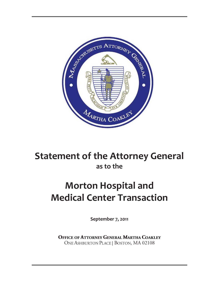

# **Statement of the Attorney General as to the**

# **Morton Hospital and Medical Center Transaction**

**September 7, 2011**

**OFFICE OF ATTORNEY GENERAL MARTHA COAKLEY** ONE ASHBURTON PLACE | BOSTON, MA 02108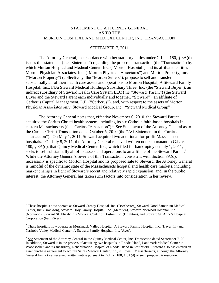#### STATEMENT OF ATTORNEY GENERAL AS TO THE MORTON HOSPITAL AND MEDICAL CENTER, INC. TRANSACTION

#### SEPTEMBER 7, 2011

The Attorney General, in accordance with her statutory duties under G.L. c. 180, § 8A(d), issues this statement (the "Statement") regarding the proposed transaction (the "Transaction") by which Morton Hospital and Medical Center, Inc. ("Morton Hospital") and its affiliated entities Morton Physician Associates, Inc. ("Morton Physician Associates") and Morton Property, Inc. ("Morton Property") (collectively, the "Morton Sellers"), propose to sell and transfer substantially all of their health care assets and operations to Morton Hospital, A Steward Family Hospital, Inc., f/k/a Steward Medical Holdings Subsidiary Three, Inc. (the "Steward Buyer"), an indirect subsidiary of Steward Health Care System LLC (the "Steward Parent") (the Steward Buyer and the Steward Parent each individually and together, "Steward"), an affiliate of Cerberus Capital Management, L.P. ("Cerberus"), and, with respect to the assets of Morton Physician Associates only, Steward Medical Group, Inc. ("Steward Medical Group").

The Attorney General notes that, effective November 6, 2010, the Steward Parent acquired the Caritas Christi health system, including its six Catholic faith-based hospitals in eastern Massachusetts (the "Caritas Transaction").<sup>1</sup> See Statement of the Attorney General as to the Caritas Christi Transaction dated October 6, 2010 (the "AG Statement in the Caritas Transaction"). On May 1, 2011, Steward acquired two additional for-profit Massachusetts hospitals.<sup>2</sup> On July 8, 2011, the Attorney General received written notice pursuant to G.L. c. 180, § 8A(d), that Quincy Medical Center, Inc., which filed for bankruptcy on July 1, 2011, seeks to sell substantially all of its assets and operations to an affiliate of the Steward Parent.<sup>3</sup> While the Attorney General's review of this Transaction, consistent with Section 8A(d), necessarily is specific to Morton Hospital and its proposed sale to Steward, the Attorney General is mindful of the dynamic state of the Massachusetts hospital and health care markets, including market changes in light of Steward's recent and relatively rapid expansion, and, in the public interest, the Attorney General has taken such factors into consideration in her review.

<sup>&</sup>lt;sup>1</sup> These hospitals now operate as Steward Carney Hospital, Inc. (Dorchester), Steward Good Samaritan Medical Center, Inc. (Brockton), Steward Holy Family Hospital, Inc. (Methuen), Steward Norwood Hospital, Inc. (Norwood), Steward St. Elizabeth's Medical Center of Boston, Inc. (Brighton), and Steward St. Anne's Hospital Corporation (Fall River).

 $2$  These hospitals now operate as Merrimack Valley Hospital, A Steward Family Hospital, Inc. (Haverhill) and Nashoba Valley Medical Center, A Steward Family Hospital, Inc. (Ayer).

 $3$  See Statement of the Attorney General in the Quincy Medical Center, Inc. Transaction dated September 7, 2011. In addition, Steward is in the process of acquiring two hospitals in Rhode Island, Landmark Medical Center in Woonsocket, and its subsidiary, Rehabilitation Hospital of Rhode Island in Smithfield. Steward also has entered an asset purchase agreement to acquire Saints Medical Center, Inc., in Lowell, Massachusetts, although the Attorney General has not yet received written notice pursuant to G.L. c. 180, § 8A(d) of such proposed transaction.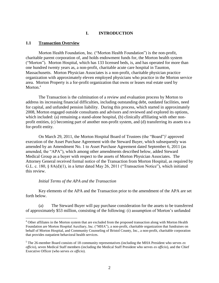#### **I. INTRODUCTION**

#### **1.1 Transaction Overview**

Morton Health Foundation, Inc. ("Morton Health Foundation") is the non-profit, charitable parent corporation of, and holds endowment funds for, the Morton health system ("Morton"). Morton Hospital, which has 133 licensed beds, is, and has operated for more than one hundred twenty years as, a non-profit, charitable acute care hospital in Taunton, Massachusetts. Morton Physician Associates is a non-profit, charitable physician practice organization with approximately eleven employed physicians who practice in the Morton service area. Morton Property is a for-profit organization that owns or leases real estate used by Morton.<sup>4</sup>

The Transaction is the culmination of a review and evaluation process by Morton to address its increasing financial difficulties, including outstanding debt, outdated facilities, need for capital, and unfunded pension liability. During this process, which started in approximately 2008, Morton engaged outside consultants and advisors and reviewed and explored its options, which included: (a) remaining a stand-alone hospital, (b) clinically affiliating with other nonprofit entities, (c) becoming part of another non-profit system, and (d) transferring its assets to a for-profit entity.

On March 29, 2011, the Morton Hospital Board of Trustees (the "Board")<sup>5</sup> approved execution of the Asset Purchase Agreement with the Steward Buyer, which subsequently was amended by an Amendment No. 1 to Asset Purchase Agreement dated September 6, 2011 (as amended, the "APA"), which among other amendments described below, added Steward Medical Group as a buyer with respect to the assets of Morton Physician Associates. The Attorney General received formal notice of the Transaction from Morton Hospital, as required by G.L. c. 180, § 8A(d)(1), in a letter dated May 26, 2011 ("Transaction Notice"), which initiated this review.

#### *Initial Terms of the APA and the Transaction*

 $\overline{a}$ 

Key elements of the APA and the Transaction prior to the amendment of the APA are set forth below.

(a) The Steward Buyer will pay purchase consideration for the assets to be transferred of approximately \$53 million, consisting of the following: (i) assumption of Morton's unfunded

<sup>&</sup>lt;sup>4</sup> Other affiliates in the Morton system that are excluded from the proposed transaction along with Morton Health Foundation are Morton Hospital Auxiliary, Inc. ("MHA"), a non-profit, charitable organization that fundraises on behalf of Morton Hospital, and Community Counseling of Bristol County, Inc., a non-profit, charitable corporation that provides outpatient behavioral health services.

<sup>5</sup> The 26-member Board consists of 18 community representatives (including the MHA President who serves *ex officio*), seven Medical Staff members (including the Medical Staff President who serves *ex officio*), and the Chief Executive Officer (who serves *ex officio*).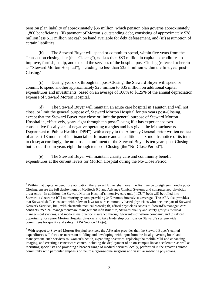pension plan liability of approximately \$36 million, which pension plan governs approximately 1,800 beneficiaries, (ii) payment of Morton's outstanding debt, consisting of approximately \$28 million less \$11 million net cash on hand available for debt defeasement, and (iii) assumption of certain liabilities.

(b) The Steward Buyer will spend or commit to spend, within five years from the Transaction closing date (the "Closing"), no less than \$85 million in capital expenditures to improve, furnish, equip, and expand the services of the hospital post-Closing (referred to herein as "Steward Morton Hospital"), including no less than \$25.5 million within the first year post- $\text{Closing.}^6$ 

(c) During years six through ten post-Closing, the Steward Buyer will spend or commit to spend another approximately \$25 million to \$35 million on additional capital expenditures and investments, based on an average of 100% to \$125% of the annual depreciation expense of Steward Morton Hospital.

(d) The Steward Buyer will maintain an acute care hospital in Taunton and will not close, or limit the general purpose of, Steward Morton Hospital for ten years post-Closing, except that the Steward Buyer may close or limit the general purpose of Steward Morton Hospital in, effectively, years eight through ten post-Closing if it has experienced two consecutive fiscal years of negative operating margins and has given the Massachusetts Department of Public Health ("DPH"), with a copy to the Attorney General, prior written notice of at least 18 months of its financial performance and an additional six months notice of its intent to close; accordingly, the no-close commitment of the Steward Buyer is ten years post-Closing but is qualified in years eight through ten post-Closing (the "No-Close Period").<sup>7</sup>

(e) The Steward Buyer will maintain charity care and community benefit expenditures at the current levels for Morton Hospital during the No-Close Period.

 $\overline{a}$ <sup>6</sup> Within that capital expenditure obligation, the Steward Buyer shall, over the first twelve to eighteen months post-Closing, ensure the full deployment of Meditech 6.0 and Advance Clinical Systems and computerized physician order entry. In addition, the Steward Morton Hospital's intensive care unit ("ICU") beds will be rolled into Steward's electronic ICU monitoring system, providing 24/7 remote intensivist coverage. The APA also provides that Steward shall, consistent with relevant law: (a) wire community-based physicians who become part of Steward Network Services, Inc., with electronic medical records; (b) afford physicians access to Steward's managed care contracts, medical management/care management infrastructure, Steward quality and safety group's medical management systems, and medical malpractice insurance through Steward's off-shore company; and (c) afford opportunity for senior Morton Hospital physicians to take leadership positions on Steward's system-wide committees for quality and safety. APA Section 11.6(e).

<sup>7</sup> With respect to Steward Morton Hospital services, the APA also provides that the Steward Buyer's capital expenditures will focus resources on building and developing, with input from the local governing board and management, such services as: women's health, expanding obstetrics, replacing the mobile MRI and enhancing imaging, and creating a cancer care center, including the deployment of an on-campus linear accelerator, as well as recruiting specialists and providing a broader range of medical services locally, performed in the greater Taunton community with particular emphasis on neurosurgeons/spine surgeons and vascular medicine physicians.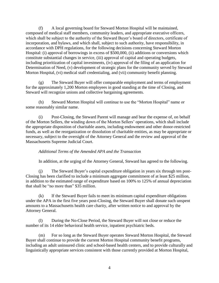(f) A local governing board for Steward Morton Hospital will be maintained, composed of medical staff members, community leaders, and appropriate executive officers, which shall be subject to the authority of the Steward Buyer's board of directors, certificate of incorporation, and bylaws, and which shall, subject to such authority, have responsibility, in accordance with DPH regulations, for the following decisions concerning Steward Morton Hospital: (i) approval of borrowings in excess of \$500,000, (ii) additions or conversions which constitute substantial changes in service, (iii) approval of capital and operating budgets, including prioritization of capital investments, (iv) approval of the filing of an application for Determination of Need, (v) development of strategic plans for the community served by Steward Morton Hospital, (vi) medical staff credentialing, and (vii) community benefit planning.

(g) The Steward Buyer will offer comparable employment and terms of employment for the approximately 1,200 Morton employees in good standing at the time of Closing, and Steward will recognize unions and collective bargaining agreements.

(h) Steward Morton Hospital will continue to use the "Morton Hospital" name or some reasonably similar name.

(i) Post-Closing, the Steward Parent will manage and bear the expense of, on behalf of the Morton Sellers, the winding down of the Morton Sellers' operations, which shall include the appropriate disposition of charitable assets, including endowment and other donor-restricted funds, as well as the reorganization or dissolution of charitable entities, as may be appropriate or necessary, subject to the oversight of the Attorney General and the review and approval of the Massachusetts Supreme Judicial Court.

#### *Additional Terms of the Amended APA and the Transaction*

In addition, at the urging of the Attorney General, Steward has agreed to the following.

(j) The Steward Buyer's capital expenditure obligation in years six through ten post-Closing has been clarified to include a minimum aggregate commitment of at least \$25 million, in addition to the estimated range of expenditure based on 100% to 125% of annual depreciation that shall be "no more than" \$35 million.

(k) If the Steward Buyer fails to meet its minimum capital expenditure obligations under the APA in the first five years post-Closing, the Steward Buyer shall donate such unspent amounts to a Massachusetts health care charity, after written notice to and approval by the Attorney General.

(l) During the No-Close Period, the Steward Buyer will not close or reduce the number of its 14 elder behavioral health service, inpatient psychiatric beds.

(m) For so long as the Steward Buyer operates Steward Morton Hospital, the Steward Buyer shall continue to provide the current Morton Hospital community benefit programs, including an adult uninsured clinic and school-based health centers, and to provide culturally and linguistically appropriate services consistent with those currently provided at Morton Hospital,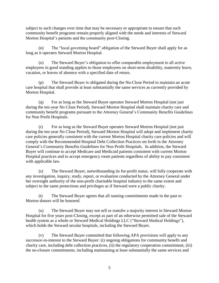subject to such changes over time that may be necessary or appropriate to ensure that such community benefit programs remain properly aligned with the needs and interests of Steward Morton Hospital's patients and the community post-Closing.

(n) The "local governing board" obligation of the Steward Buyer shall apply for as long as it operates Steward Morton Hospital.

(o) The Steward Buyer's obligation to offer comparable employment to all active employees in good standing applies to those employees on short-term disability, maternity leave, vacation, or leaves of absence with a specified date of return.

(p) The Steward Buyer is obligated during the No-Close Period to maintain an acute care hospital that shall provide at least substantially the same services as currently provided by Morton Hospital.

(q) For as long as the Steward Buyer operates Steward Morton Hospital (not just during the ten-year No Close Period), Steward Morton Hospital shall maintain charity care and community benefit programs pursuant to the Attorney General's Community Benefits Guidelines for Non Profit Hospitals.

(r) For as long as the Steward Buyer operates Steward Morton Hospital (not just during the ten-year No Close Period), Steward Morton Hospital will adopt and implement charity care policies generally consistent with the current Morton Hospital charity care policies and will comply with the Recommended Hospital Debt Collection Practices set forth in the Attorney General's Community Benefits Guidelines for Non Profit Hospitals. In addition, the Steward Buyer will continue to accept Medicare and Medicaid patients consistent with current Morton Hospital practices and to accept emergency room patients regardless of ability to pay consistent with applicable law.

(s) The Steward Buyer, notwithstanding its for-profit status, will fully cooperate with any investigation, inquiry, study, report, or evaluation conducted by the Attorney General under her oversight authority of the non-profit charitable hospital industry to the same extent and subject to the same protections and privileges as if Steward were a public charity.

(t) The Steward Buyer agrees that all naming commitments made in the past to Morton donors will be honored.

(u) The Steward Buyer may not sell or transfer a majority interest in Steward Morton Hospital for five years post-Closing, except as part of an otherwise permitted sale of the Steward health system as a whole or Steward Medical Holdings LLC ("Steward Medical Holdings"), which holds the Steward secular hospitals, including the Steward Buyer.

(v) The Steward Buyer committed that following APA provisions will apply to any successor-in-interest to the Steward Buyer: (i) ongoing obligations for community benefit and charity care, including debt collection practices, (ii) the regulatory cooperation commitment, (iii) the no-closure commitments, including maintaining at least substantially the same services and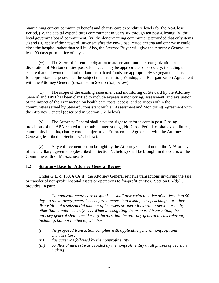maintaining current community benefit and charity care expenditure levels for the No-Close Period, (iv) the capital expenditures commitment in years six through ten post-Closing; (v) the local governing board commitment, (vi) the donor-naming commitment; provided that only items (i) and (ii) apply if the Steward Buyer satisfies the No-Close Period criteria and otherwise could close the hospital rather than sell it. Also, the Steward Buyer will give the Attorney General at least 90 days prior notice of any sale.

(w) The Steward Parent's obligation to assure and fund the reorganization or dissolution of Morton entities post-Closing, as may be appropriate or necessary, including to ensure that endowment and other donor-restricted funds are appropriately segregated and used for appropriate purposes shall be subject to a Transition, Windup, and Reorganization Agreement with the Attorney General (described in Section 5.3, below).

(x) The scope of the existing assessment and monitoring of Steward by the Attorney General and DPH has been clarified to include expressly monitoring, assessment, and evaluation of the impact of the Transaction on health care costs, access, and services within the communities served by Steward, consistent with an Assessment and Monitoring Agreement with the Attorney General (described in Section 5.2, below).

(y) The Attorney General shall have the right to enforce certain post-Closing provisions of the APA related to the public interest (e.g., No-Close Period, capital expenditures, community benefits, charity care), subject to an Enforcement Agreement with the Attorney General (described in Section 5.1, below).

(z) Any enforcement action brought by the Attorney General under the APA or any of the ancillary agreements (described in Section V, below) shall be brought in the courts of the Commonwealth of Massachusetts.

#### **1.2 Statutory Basis for Attorney General Review**

Under G.L. c. 180, § 8A(d), the Attorney General reviews transactions involving the sale or transfer of non-profit hospital assets or operations to for-profit entities. Section 8A(d)(1) provides, in part:

*"A nonprofit acute-care hospital . . . shall give written notice of not less than 90 days to the attorney general . . . before it enters into a sale, lease, exchange, or other disposition of a substantial amount of its assets or operations with a person or entity other than a public charity. . . . When investigating the proposed transaction, the attorney general shall consider any factors that the attorney general deems relevant, including, but not limited to, whether:*

- *(i) the proposed transaction complies with applicable general nonprofit and charities law;*
- *(ii) due care was followed by the nonprofit entity;*
- *(iii) conflict of interest was avoided by the nonprofit entity at all phases of decision making;*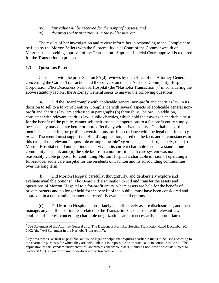- *(iv) fair value will be received for the nonprofit assets; and*
- *(v) the proposed transaction is in the public interest."*

The results of her investigation and review inform her in responding to the Complaint to be filed by the Morton Sellers with the Supreme Judicial Court of the Commonwealth of Massachusetts seeking approval of the Transaction. Supreme Judicial Court approval is required for the Transaction to proceed.

#### **1.3 Questions Posed**

 $\overline{a}$ 

Consistent with the prior Section 8A(d) reviews by the Office of the Attorney General concerning the Caritas Transaction and the conversion of The Nashoba Community Hospital Corporation d/b/a Deaconess Nashoba Hospital (the "Nashoba Transaction"), 8 in considering the above statutory factors, the Attorney General seeks to answer the following questions.

(a) Did the Board comply with applicable general non-profit and charities law in its decision to sell to a for-profit entity? Compliance with several aspects of applicable general nonprofit and charities law are addressed in paragraphs (b) through (e), below. In addition, consistent with relevant charities law, public charities, which hold their assets in charitable trust for the benefit of the public, cannot sell their assets and operations to a for-profit entity simply because they may operate better or more effectively with private equity. Charitable board members considering for-profit conversion must act in accordance with the legal doctrine of *cy pres*. <sup>9</sup> The record must support the Board's application, based on the facts and circumstances in this case, of the relevant "impossible or impracticable" *cy pres* legal standard, namely, that: (i) Morton Hospital could not continue to survive in its current charitable form as a stand-alone community hospital, and (ii) the sole bid from a non-profit health care system was not a reasonably viable proposal for continuing Morton Hospital's charitable mission of operating a full-service, acute care hospital for the residents of Taunton and its surrounding communities over the long term.

(b) Did Morton Hospital carefully, thoughtfully, and deliberately explore and evaluate available options? The Board's determination to sell and transfer the assets and operations of Morton Hospital to a for-profit entity, where assets are held for the benefit of private owners and no longer held for the benefit of the public, must have been considered and approved in a deliberative manner that carefully evaluated all options.

(c) Did Morton Hospital appropriately and effectively assure disclosure of, and then manage, any conflicts of interest related to the Transaction? Consistent with relevant law, conflicts of interest concerning charitable organizations are not necessarily inappropriate or

 $8$  See Statement of the Attorney General as to The Deaconess Nashoba Hospital Transaction dated December 20, 2002 (the "AG Statement in the Nashoba Transaction").

<sup>9</sup> *Cy pres* means "as near as possible" and is the legal principle that requires charitable funds to be used according to the charitable purposes for which they are held, unless it is impossible or impracticable to continue to do so. The application of this standard under charities law protects charitable assets, including non-profit hospitals subject to Section 8A(d) review, from improper diversion to for-profit entities.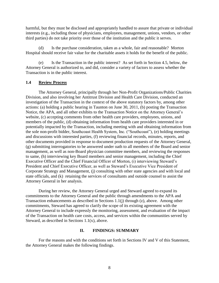harmful, but they must be disclosed and appropriately handled to assure that private or individual interests (e.g., including those of physicians, employees, management, unions, vendors, or other third parties) do not take priority over those of the institution and the public it serves.

(d) Is the purchase consideration, taken as a whole, fair and reasonable? Morton Hospital should receive fair value for the charitable assets it holds for the benefit of the public.

(e) Is the Transaction in the public interest? As set forth in Section 4.5, below, the Attorney General is authorized to, and did, consider a variety of factors to assess whether the Transaction is in the public interest.

#### **1.4 Review Process**

The Attorney General, principally through her Non-Profit Organizations/Public Charities Division, and also involving her Antitrust Division and Health Care Division, conducted an investigation of the Transaction in the context of the above statutory factors by, among other actions: (a) holding a public hearing in Taunton on June 30, 2011, (b) posting the Transaction Notice, the APA, and all other exhibits to the Transaction Notice on the Attorney General's website, (c) accepting comments from other health care providers, employees, unions, and members of the public, (d) obtaining information from health care providers interested in or potentially impacted by the Transaction, including meeting with and obtaining information from the sole non-profit bidder, Southcoast Health System, Inc. ("Southcoast"), (e) holding meetings and discussions with interested parties, (f) reviewing financial records, minutes, reports, and other documents provided in response to document production requests of the Attorney General, (g) submitting interrogatories to be answered under oath to all members of the Board and senior management, as well as non-Board physician committee members, and reviewing the responses to same, (h) interviewing key Board members and senior management, including the Chief Executive Officer and the Chief Financial Officer of Morton, (i) interviewing Steward's President and Chief Executive Officer, as well as Steward's Executive Vice President of Corporate Strategy and Management, (j) consulting with other state agencies and with local and state officials, and (k) retaining the services of consultants and outside counsel to assist the Attorney General in her analysis.

During her review, the Attorney General urged and Steward agreed to expand its commitments to the Attorney General and the public through amendments to the APA and Transaction enhancements as described in Sections 1.1(j) through (z), above. Among other commitments, Steward has agreed to clarify the scope of its existing agreement with the Attorney General to include expressly the monitoring, assessment, and evaluation of the impact of the Transaction on health care costs, access, and services within the communities served by Steward, as described in Sections 1.1(x), above.

#### **II. FINDINGS: SUMMARY**

For the reasons and with the conditions set forth in Sections IV and V of this Statement, the Attorney General makes the following findings.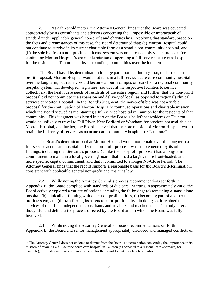2.1 As a threshold matter, the Attorney General finds that the Board was educated appropriately by its consultants and advisors concerning the "impossible or impracticable" standard under applicable general non-profit and charities law. Applying that standard, based on the facts and circumstances of this case, the Board determined that: (a) Morton Hospital could not continue to survive in its current charitable form as a stand-alone community hospital, and (b) the sole bid from a non-profit health care system was not a reasonably viable proposal for continuing Morton Hospital's charitable mission of operating a full-service, acute care hospital for the residents of Taunton and its surrounding communities over the long term.

The Board based its determination in large part upon its findings that, under the nonprofit proposal, Morton Hospital would not remain a full-service acute care community hospital over the long term, but rather, would become a fourth campus or branch of a regional community hospital system that developed "signature" services at the respective facilities to service, collectively, the health care needs of residents of the entire region, and further, that the non-profit proposal did not commit to the expansion and delivery of local (as opposed to regional) clinical services at Morton Hospital. In the Board's judgment, the non-profit bid was not a viable proposal for the continuation of Morton Hospital's continued operations and charitable mission, which the Board viewed as maintaining a full-service hospital in Taunton for the residents of that community. This judgment was based in part on the Board's belief that residents of Taunton would be unlikely to travel to Fall River, New Bedford or Wareham for services not available at Morton Hospital, and further, the Board believed that the core mission of Morton Hospital was to retain the full array of services as an acute care community hospital for Taunton. 10

The Board's determination that Morton Hospital would not remain over the long term a full-service acute care hospital under the non-profit proposal was supplemented by its other findings, including that Steward's proposal (unlike the non-profit proposal) had a long-term commitment to maintain a local governing board, that it had a larger, more front-loaded, and more specific capital commitment, and that it committed to a longer No-Close Period. The Attorney General finds that the record supports a reasonable basis for the Board's determination, consistent with applicable general non-profit and charities law.

2.2 While noting the Attorney General's process recommendations set forth in Appendix B, the Board complied with standards of due care. Starting in approximately 2008, the Board actively explored a variety of options, including the following: (a) remaining a stand-alone hospital, (b) clinically affiliating with other non-profit entities, (c) becoming part of another nonprofit system, and (d) transferring its assets to a for-profit entity. In doing so, it retained the services of qualified, independent consultants and advisors and reached a decision only after a thoughtful and deliberative process directed by the Board and in which the Board was fully involved.

2.3 While noting the Attorney General's process recommendations set forth in Appendix B, the Board and senior management appropriately disclosed and managed conflicts of

 $10$  The Attorney General does not endorse or detract from the Board's determination concerning the importance to its mission of retaining a full-service acute care hospital in Taunton (as opposed to a regional care approach, for example), but finds that it was not unreasonable for the Board to make such determination.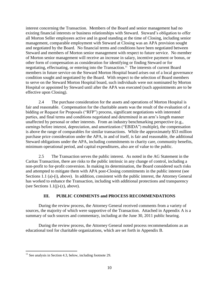interest concerning the Transaction. Members of the Board and senior management had no existing financial interests or business relationships with Steward. Steward's obligation to offer all Morton Seller employees active and in good standing at the time of Closing, including senior management, comparable employment with Steward at Closing was an APA provision sought and negotiated by the Board. No financial terms and conditions have been negotiated between Steward and members of Morton senior management with respect to future service. No member of Morton senior management will receive an increase in salary, incentive payment or bonus, or other form of compensation as consideration for identifying or finding Steward or for negotiating, effectuating, or entering into the Transaction.<sup>11</sup> The interests of current Board members in future service on the Steward Morton Hospital board arises out of a local governance condition sought and negotiated by the Board. With respect to the selection of Board members to serve on the Steward Morton Hospital board, such individuals were not nominated by Morton Hospital or appointed by Steward until after the APA was executed (such appointments are to be effective upon Closing).

2.4 The purchase consideration for the assets and operations of Morton Hospital is fair and reasonable. Compensation for the charitable assets was the result of the evaluation of a bidding or Request for Proposals ("RFP") process, significant negotiations with interested parties, and final terms and conditions negotiated and determined in an arm's length manner unaffected by personal or other interests. From an industry benchmarking perspective (e.g., earnings before interest, depreciation, and amortization ("EBIDA") multiple), the compensation is above the range of comparables for similar transactions. While the approximately \$53 million purchase price consideration under the APA, in and of itself, is fair and reasonable, the additional Steward obligations under the APA, including commitments to charity care, community benefits, minimum operational period, and capital expenditures, also are of value to the public.

2.5 The Transaction serves the public interest. As noted in the AG Statement in the Caritas Transaction, there are risks to the public intrinsic in any change of control, including a non-profit to for-profit conversion. In making its determination, the Board considered such risks and attempted to mitigate them with APA post-Closing commitments in the public interest (see Sections 1.1 (a)-(i), above). In addition, consistent with the public interest, the Attorney General has worked to enhance the Transaction, including with additional protections and transparency (see Sections  $1.1(i)-(z)$ , above).

#### **III. PUBLIC COMMENTS and PROCESS RECOMMENDATIONS**

During the review process, the Attorney General received comments from a variety of sources, the majority of which were supportive of the Transaction. Attached in Appendix A is a summary of such sources and commentary, including at the June 30, 2011 public hearing.

During the review process, the Attorney General noted process recommendations as an educational tool for charitable organizations, which are set forth in Appendix B.

 $11$  See analysis in Section 4.3, below, including footnote 29.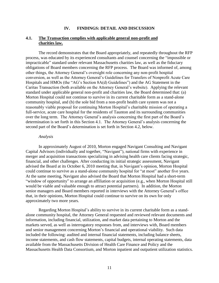#### **IV. FINDINGS: DETAIL AND DISCUSSION**

#### **4.1. The Transaction complies with applicable general non-profit and charities law.**

The record demonstrates that the Board appropriately, and repeatedly throughout the RFP process, was educated by its experienced consultants and counsel concerning the "impossible or impracticable" standard under relevant Massachusetts charities law, as well as the fiduciary obligations of Board members concerning the RFP process. The Board was informed of, among other things, the Attorney General's oversight role concerning any non-profit hospital conversion, as well as the Attorney General's Guidelines for Transfers of Nonprofit Acute Care Hospitals and HMOs (the "AG's Section 8A(d) Guidelines") and the AG Statement in the Caritas Transaction (both available on the Attorney General's website). Applying the relevant standard under applicable general non-profit and charities law, the Board determined that: (a) Morton Hospital could not continue to survive in its current charitable form as a stand-alone community hospital, and (b) the sole bid from a non-profit health care system was not a reasonably viable proposal for continuing Morton Hospital's charitable mission of operating a full-service, acute care hospital for the residents of Taunton and its surrounding communities over the long term. The Attorney General's analysis concerning the first part of the Board's determination is set forth in this Section 4.1. The Attorney General's analysis concerning the second part of the Board's determination is set forth in Section 4.2, below.

#### *Analysis*

In approximately August of 2010, Morton engaged Navigant Consulting and Navigant Capital Advisors (individually and together, "Navigant"), national firms with experience in merger and acquisition transactions specializing in advising health care clients facing strategic, financial, and other challenges. After conducting its initial strategic assessment, Navigant advised the Board at its October 6, 2010 meeting that, in Navigant's opinion, Morton Hospital could continue to survive as a stand-alone community hospital for "at most" another five years. At the same meeting, Navigant also advised the Board that Morton Hospital had a short-term "window of opportunity" to arrange an affiliation or acquisition (e.g., when Morton Hospital still would be viable and valuable enough to attract potential partners). In addition, the Morton senior managers and Board members reported in interviews with the Attorney General's office that, in their opinions, Morton Hospital could continue to survive on its own for only approximately two more years.

Regarding Morton Hospital's ability to survive in its current charitable form as a standalone community hospital, the Attorney General requested and reviewed relevant documents and information, including financial, utilization, and market data pertaining to Morton and the markets served, as well as interrogatory responses from, and interviews with, Board members and senior management concerning Morton's financial and operational viability. Such data included the following: audited and internal financial statements, including balance sheets, income statements, and cash flow statements, capital budgets, internal operating statements, data available from the Massachusetts Division of Health Care Finance and Policy and the Massachusetts Health Data Consortium, and Morton inpatient and outpatient utilization statistics.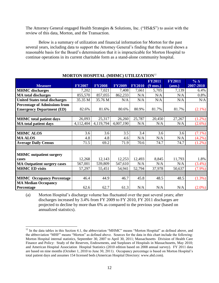The Attorney General engaged Health Strategies & Solutions, Inc. ("HS&S") to assist with the review of this data, Morton, and the Transaction.

Below is a summary of utilization and financial information for Morton for the past several years, including data to support the Attorney General's finding that the record shows a reasonable basis for the Board's determination that it is impracticable for Morton Hospital to continue operations in its current charitable form as a stand-alone community hospital.

| <b>Measure</b>                        | <b>FY2007</b> | <b>FY2008</b> | <b>FY2009</b> | <b>FY2010</b> | <b>FY2011</b><br>$(9 \text{ mos.})$ | <b>FY2011</b><br>(ann.) | $%$ $\triangle$<br>2007-2010 |
|---------------------------------------|---------------|---------------|---------------|---------------|-------------------------------------|-------------------------|------------------------------|
| <b>MHMC</b> discharges                | 7,202         | 7,021         | 7,408         | 7,661         | 5,705                               | 7,139                   | 6.4%                         |
| <b>MA</b> total discharges            | 855,570       | 857,055       | 862,233       | N/A           | N/A                                 | N/A                     | 0.8%                         |
| <b>United States total discharges</b> | 35.35 M       | 35.76 M       | N/A           | N/A           | N/A                                 | N/A                     | N/A                          |
| <b>Percentage of Admissions from</b>  |               |               |               |               |                                     |                         |                              |
| <b>Emergency Department (ED)</b>      | 82.6%         | 81.6%         | 80.6%         | 80.9%         | 81.7%                               | 81.7%                   | $(2.1\%)$                    |
|                                       |               |               |               |               |                                     |                         |                              |
| <b>MHMC</b> total patient days        | 26,093        | 25,317        | 26,260        | 25,787        | 20,450                              | 27,267                  | $(1.2\%)$                    |
| <b>MA</b> total patient days          | 4,112,404     | 4,119,794     | 4,007,190     | N/A           | N/A                                 | N/A                     | $(2.6\%)$                    |
|                                       |               |               |               |               |                                     |                         |                              |
| <b>MHMC ALOS</b>                      | 3.6           | 3.6           | 3.5           | 3.4           | 3.6                                 | 3.6                     | $(7.1\%)$                    |
| <b>MA ALOS</b>                        | 4.8           | 4.8           | 4.6           | N/A           | N/A                                 | N/A                     | $(4.2\%)$                    |
| <b>Average Daily Census</b>           | 71.5          | 69.2          | 71.9          | 70.6          | 74.7                                | 74.7                    | $(1.2\%)$                    |
|                                       |               |               |               |               |                                     |                         |                              |
| <b>MHMC</b> outpatient surgery        |               |               |               |               |                                     |                         |                              |
| cases                                 | 12,268        | 12,143        | 12,253        | 12,493        | 8,845                               | 11,793                  | 1.8%                         |
| <b>MA Outpatient surgery cases</b>    | 567,001       | 539,809       | 547,610       | N/A           | N/A                                 | N/A                     | $(3.4\%)$                    |
| <b>MHMC ED visits</b>                 | 57,297        | 55,451        | 54,941        | 52,794        | 37,978                              | 50,637                  | $(7.9\%)$                    |
|                                       |               |               |               |               |                                     |                         |                              |
| <b>MHMC</b> Occupancy Percentage      | 46.4          | 44.9          | 46.7          | 45.8          | 48.5                                | 48.5                    | (1.3%)                       |
| <b>MA Median Occupancy</b>            |               |               |               |               |                                     |                         |                              |
| Percentage                            | 62.6          | 62.7          | 61.3          | N/A           | N/A                                 | N/A                     | $(2.0\%)$                    |

#### **MORTON HOSPITAL (MHMC) UTILIZATION**<sup>12</sup>

(a) Morton Hospital's discharge volume has fluctuated over the past several years; after discharges increased by 3.4% from FY 2009 to FY 2010, FY 2011 discharges are projected to decline by more than 6% as compared to the previous year (based on annualized statistics).

 $\overline{a}$  $12$  In the data tables in this Section 4.1, the abbreviation "MHMC" means "Morton Hospital" as defined above, and the abbreviation "MHF" means "Morton" as defined above. Sources for the data in this chart include the following: Morton Hospital internal statistics, September 30, 2007 to April 30, 2011; Massachusetts Division of Health Care Finance and Policy: Study of the Reserves, Endowments, and Surpluses of Hospitals in Massachusetts, May 2010; and American Hospital Association Hospital Statistics (2010 edition based on 2008 annual survey). FY 2011 data are based on nine months (October 1, 2010 to June 30, 2011). Occupancy percentage is based on Morton Hospital's total patient days and assumes 154 licensed beds (American Hospital Directory: www.ahd.com).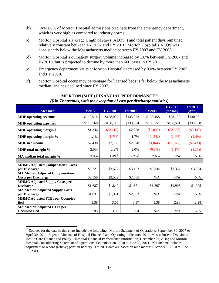- (b) Over 80% of Morton Hospital admissions originate from the emergency department, which is very high as compared to industry norms.
- (c) Morton Hospital's average length of stay ("ALOS") and total patient days remained relatively constant between FY 2007 and FY 2010; Morton Hospital's ALOS was consistently below the Massachusetts median between FY 2007 and FY 2009.
- (d) Morton Hospital's outpatient surgery volume increased by 1.8% between FY 2007 and FY2010, but is projected to decline by more than 600 cases in FY 2011.
- (e) Emergency department visits at Morton Hospital decreased by 8.0% between FY 2007 and FY 2010.
- (f) Morton Hospital occupancy percentage for licensed beds is far below the Massachusetts median, and has declined since FY 2007.

| <b>Measure</b>                          | <b>FY2007</b> | <b>FY2008</b>        | <b>FY2009</b>        | <b>FY2010</b> | <b>FY2011</b><br>$(9$ Mos.) | <b>FY2011</b><br>(Ann.) |
|-----------------------------------------|---------------|----------------------|----------------------|---------------|-----------------------------|-------------------------|
|                                         |               |                      |                      |               |                             |                         |
| <b>MHF</b> operating revenue            | \$119,914     | \$128,004            | \$135,822            | \$136,458     | \$98,198                    | \$130,931               |
| <b>MHF</b> operating expenses           | \$118,568     | \$130,119            | \$133,564            | \$138,551     | \$100,551                   | \$134,068               |
| <b>MHF</b> operating margin \$          | \$1,346       | $(\$2,115)$          | \$2,258              | $(\$2,093)$   | $(\$2,353)$                 | $(\$3,137)$             |
| MHF operating margin %                  | 1.1%          | $(1.7\%)$            | 1.7%                 | $(1.5\%)$     | $(2.4\%)$                   | $(2.4\%)$               |
| <b>MHF</b> net income                   | \$2,438       | \$2,755              | \$2,678              | (\$1,044)     | (\$1,075)                   | (\$1,433)               |
| MHF total margin %                      | 2.0%          | 2.2%                 | 2.0%                 | $(0.8\%)$     | $(1.1\%)$                   | $(1.1\%)$               |
| MA median total margin %                | 3.0%          | $1.4\%$ <sup>2</sup> | $2.2\%$ <sup>2</sup> | 2.6%          | N/A                         | N/A                     |
|                                         |               |                      |                      |               |                             |                         |
| <b>MHMC Adjusted Compensation Costs</b> |               |                      |                      |               |                             |                         |
| per Discharge                           | \$3,221       | \$3,527              | \$3,422              | \$3,334       | \$3,334                     | \$3,334                 |
| <b>MA Median Adjusted Compensation</b>  |               |                      |                      |               |                             |                         |
| <b>Costs per Discharge</b>              | \$2,550       | \$2,582              | \$2,735              | N/A           | N/A                         | N/A                     |
| <b>MHMC Adjusted Supply Costs per</b>   |               |                      |                      |               |                             |                         |
| <b>Discharge</b>                        | \$1,687       | \$1,840              | \$1,871              | \$1,897       | \$1,905                     | \$1,905                 |
| <b>MA Median Adjusted Supply Costs</b>  |               |                      |                      |               |                             |                         |
| per Discharge                           | \$1,831       | \$1,931              | \$2,003              | N/A           | N/A                         | N/A                     |
| <b>MHMC Adjusted FTEs per Occupied</b>  |               |                      |                      |               |                             |                         |
| <b>Bed</b>                              | 3.38          | 3.65                 | 3.37                 | 3.38          | 2.98                        | 2.98                    |
| <b>MA Median Adjusted FTEs per</b>      |               |                      |                      |               |                             |                         |
| <b>Occupied Bed</b>                     | 2.95          | 3.09                 | 3.04                 | N/A           | N/A                         | N/A                     |

#### **MORTON (MHF) FINANCIAL PERFORMANCE**<sup>13</sup> *(\$ in Thousands, with the exception of cost per discharge statistics)*

 $\overline{a}$ <sup>13</sup> Sources for the data in this chart include the following: Morton Statement of Operations, September 30, 2007 to April 30, 2011; Ingenix Almanac of Hospital Financial and Operating Indicators, 2011; Massachusetts Division of Health Care Finance and Policy – Hospital Financial Performance Information, December 31, 2010; and Morton Hospital Consolidating Statement of Operations, September 30, 2010 to June 30, 2011. Net income includes adjustment to record (relieve) pension liability. FY 2011 data are based on nine months (October 1, 2010 to June 30, 2011).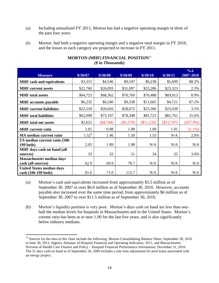- (a) Including annualized FY 2011, Morton has had a negative operating margin in three of the past four years.
- (b) Morton had both a negative operating margin and a negative total margin in FY 2010, and the losses in each category are projected to increase in FY 2011.

|                                  |          |             |           |            |            | $\% \triangle$ |
|----------------------------------|----------|-------------|-----------|------------|------------|----------------|
| <b>Measure</b>                   | 9/30/07  | 9/30/08     | 9/30/09   | 9/30/10    | 6/30/11    | 2007-2010      |
| <b>MHF</b> cash and equivalents  | \$3,315  | \$4,546     | \$9,547   | \$6,238    | \$5,699    | 88.2%          |
| <b>MHF</b> current assets        | \$22,760 | \$26,093    | \$31,097  | \$23,286   | \$23,323   | 2.3%           |
| <b>MHF</b> total assets          | \$64,723 | \$68,362    | \$76,769  | \$70,488   | \$69,013   | 8.9%           |
| <b>MHF</b> accounts payable      | \$6,232  | \$6,540     | \$9,538   | \$11,665   | \$4,721    | 87.2%          |
| <b>MHF</b> current liabilities   | \$22,518 | \$26,656    | \$28,672  | \$23,306   | \$23,038   | 3.5%           |
| <b>MHF</b> total liabilities     | \$62,098 | \$73,107    | \$78,348  | \$81,723   | \$81,761   | 31.6%          |
| <b>MHF</b> total net assets      | \$2,625  | $(\$4,744)$ | (\$1,579) | (\$11,233) | (\$12,747) | $(527.9\%)$    |
| <b>MHF</b> current ratio         | 1.01     | 0.98        | 1.08      | 1.00       | 1.01       | $(1.1\%)$      |
| <b>MA</b> median current ratio   | $1.52^2$ | 1.46        | 1.50      | 1.55       | N/A        | 2.0%           |
| US median current ratio (100-    |          |             |           |            |            |                |
| $199$ beds)                      | 2.05     | 1.89        | 1.98      | N/A        | N/A        | N/A            |
| MHF days cash on hand (all       |          |             |           |            |            |                |
| sources)                         | 33       | 32          | 51        | 34         | 25         | 3.0%           |
| <b>Massachusetts median days</b> |          |             |           |            |            |                |
| cash (all sources)               | 62.9     | 69.9        | 78.7      | N/A        | N/A        | N/A            |
| <b>United States median days</b> |          |             |           |            |            |                |
| cash (100-199 beds)              | 81.6     | 71.0        | 115.7     | N/A        | N/A        | N/A            |

#### **MORTON (MHF) FINANCIAL POSITION**<sup>14</sup> *(\$ in Thousands)*

- (a) Morton's cash and equivalents increased from approximately \$3.5 million as of September 30, 2007 to over \$6.0 million as of September 30, 2010. However, accounts payable also increased over the same time period, from approximately \$6 million as of September 30, 2007 to over \$11.5 million as of September 30, 2010.
	- (b) Morton's liquidity position is very poor. Morton's days cash on hand are less than onehalf the median levels for hospitals in Massachusetts and in the United States. Morton's current ratio has been at or near 1.00 for the last five years, and is also significantly below industry medians.

<sup>&</sup>lt;sup>14</sup> Sources for the data in this chart include the following: Morton Consolidating Balance Sheet, September 30, 2010 to June 30, 2011; Ingenix Almanac of Hospital Financial and Operating Indicators, 2011; and Massachusetts Division of Health Care Finance and Policy – Hospital Financial Performance Information, December 31, 2010. The 51 days cash on hand as of September 20, 2009 includes a one-time adjustment for pool loans associated with an energy project.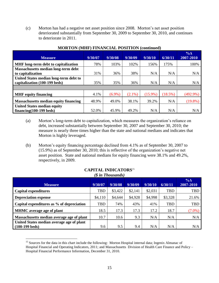(c) Morton has had a negative net asset position since 2008. Morton's net asset position deteriorated substantially from September 30, 2009 to September 30, 2010, and continues to deteriorate in 2011.

| <b>Measure</b>                               | 9/30/07 | 9/30/08   | 9/30/09   | 9/30/10    | 6/30/11 | $\% \triangle$<br>2007-2010 |
|----------------------------------------------|---------|-----------|-----------|------------|---------|-----------------------------|
| MHF long-term debt to capitalization         | 78%     | 103%      | 102%      | 156%       | 175%    | 100%                        |
| Massachusetts median long-term debt          |         |           |           |            |         |                             |
| to capitalization                            | 31%     | 36%       | 38%       | N/A        | N/A     | N/A                         |
| United States median long-term debt to       |         |           |           |            |         |                             |
| capitalization (100-199 beds)                | 35%     | 35%       | 36%       | N/A        | N/A     | N/A                         |
|                                              |         |           |           |            |         |                             |
| <b>MHF</b> equity financing                  | 4.1%    | $(6.9\%)$ | $(2.1\%)$ | $(15.9\%)$ | (18.5%) | $(492.9\%)$                 |
| <b>Massachusetts median equity financing</b> | 48.9%   | 49.0%     | 38.1%     | 39.2%      | N/A     | $(19.8\%)$                  |
| <b>United States median equity</b>           |         |           |           |            |         |                             |
| $financing(100-199)$ beds)                   | 52.0%   | 45.9%     | 49.2%     | N/A        | N/A     | N/A                         |

#### **MORTON (MHF) FINANCIAL POSITION (continued)**

- (a) Morton's long-term debt to capitalization, which measures the organization's reliance on debt, increased substantially between September 30, 2007 and September 30, 2010; the measure is nearly three times higher than the state and national medians and indicates that Morton is highly leveraged.
- (b) Morton's equity financing percentage declined from 4.1% as of September 30, 2007 to (15.9%) as of September 30, 2010; this is reflective of the organization's negative net asset position. State and national medians for equity financing were 38.1% and 49.2%, respectively, in 2009.

| P in Thousanus)                           |            |         |         |         |            |                          |  |  |
|-------------------------------------------|------------|---------|---------|---------|------------|--------------------------|--|--|
| <b>Measure</b>                            | 9/30/07    | 9/30/08 | 9/30/09 | 9/30/10 | 6/30/11    | $\% \Delta$<br>2007-2010 |  |  |
| Capital expenditures                      | <b>TBD</b> | \$3,422 | \$2,141 | \$2,031 | <b>TBD</b> | TBD                      |  |  |
| <b>Depreciation expense</b>               | \$4,110    | \$4,644 | \$4,928 | \$4,998 | \$3,328    | 21.6%                    |  |  |
| Capital expenditures as % of depreciation | TBD        | 74%     | 43%     | 41%     | <b>TBD</b> | TBD                      |  |  |
| <b>MHMC</b> average age of plant          | 18.5       | 17.3    | 17.3    | 17.2    | 18.7       | $(7.0\%)$                |  |  |
| Massachusetts median average age of plant | 10.7       | 10.6    | 9.3     | N/A     | N/A        | N/A                      |  |  |
| United States median average age of plant |            |         |         |         |            |                          |  |  |
| $(100-199 \text{ beds})$                  | 9.6        | 9.5     | 9.4     | N/A     | N/A        | N/A                      |  |  |

#### **CAPITAL INDICATORS**<sup>15</sup>  $(\phi$  in Thousands)

 $\overline{a}$ <sup>15</sup> Sources for the data in this chart include the following: Morton Hospital internal data; Ingenix Almanac of Hospital Financial and Operating Indicators, 2011; and Massachusetts Division of Health Care Finance and Policy – Hospital Financial Performance Information, December 31, 2010.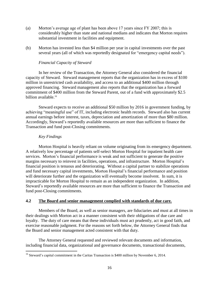- (a) Morton's average age of plant has been above 17 years since FY 2007; this is considerably higher than state and national medians and indicates that Morton requires substantial investment in facilities and equipment.
- (b) Morton has invested less than \$4 million per year in capital investments over the past several years (all of which was reportedly designated for "emergency capital needs").

#### *Financial Capacity of Steward*

In her review of the Transaction, the Attorney General also considered the financial capacity of Steward. Steward management reports that the organization has in excess of \$100 million in unrestricted cash availability, and access to an additional \$400 million through approved financing. Steward management also reports that the organization has a forward commitment of \$400 million from the Steward Parent, out of a fund with approximately \$2.5 billion available. 16

Steward expects to receive an additional \$50 million by 2016 in government funding, by achieving "meaningful use" of IT, including electronic health records. Steward also has current annual earnings before interest, taxes, depreciation and amortization of more than \$80 million. Accordingly, Steward's reportedly available resources are more than sufficient to finance the Transaction and fund post-Closing commitments.

#### *Key Findings*

 $\overline{a}$ 

Morton Hospital is heavily reliant on volume originating from its emergency department. A relatively low percentage of patients self-select Morton Hospital for inpatient health care services. Morton's financial performance is weak and not sufficient to generate the positive margins necessary to reinvest in facilities, operations, and infrastructure. Morton Hospital's financial position is tenuous and deteriorating. Without a capital partner to stabilize operations and fund necessary capital investments, Morton Hospital's financial performance and position will deteriorate further and the organization will eventually become insolvent. In sum, it is impracticable for Morton Hospital to remain as an independent organization. In addition, Steward's reportedly available resources are more than sufficient to finance the Transaction and fund post-Closing commitments.

#### **4.2 The Board and senior management complied with standards of due care.**

Members of the Board, as well as senior managers, are fiduciaries and must at all times in their dealings with Morton act in a manner consistent with their obligations of due care and loyalty. The duty of care means that these individuals must act prudently, act in good faith, and exercise reasonable judgment. For the reasons set forth below, the Attorney General finds that the Board and senior management acted consistent with that duty.

The Attorney General requested and reviewed relevant documents and information, including financial data, organizational and governance documents, transactional documents,

 $16$  Steward's capital commitment in the Caritas Transaction is \$400 million by November 6, 2014.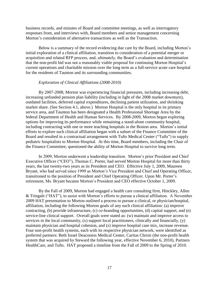business records, and minutes of Board and committee meetings, as well as interrogatory responses from, and interviews with, Board members and senior management concerning Morton's consideration of alternative transactions as well as the Transaction.

Below is a summary of the record evidencing due care by the Board, including Morton's initial exploration of a clinical affiliation, transition to consideration of a potential merger or acquisition and related RFP process, and, ultimately, the Board's evaluation and determination that the non-profit bid was not a reasonably viable proposal for continuing Morton Hospital's current operations and charitable mission over the long term as a full-service acute care hospital for the residents of Taunton and its surrounding communities.

#### *Exploration of Clinical Affiliations (2008-2010)*

By 2007-2008, Morton was experiencing financial pressures, including increasing debt, increasing unfunded pension plan liability (including in light of the 2008 market downturn), outdated facilities, deferred capital expenditures, declining patient utilization, and shrinking market share. (See Section 4.1, above.) Morton Hospital is the only hospital in its primary service area, and Taunton has been designated a Health Professional Shortage Area by the federal Department of Health and Human Services. By 2008-2009, Morton began exploring options for improving its performance while remaining a stand-alone community hospital, including contracting with one or more teaching hospitals in the Boston area. Morton's initial efforts to explore such clinical affiliation began with a subset of the Finance Committee of the Board and resulted in a contractual arrangement with Tufts Medical Center ("Tufts") to supply pediatric hospitalists to Morton Hospital. At this time, Board members, including the Chair of the Finance Committee, questioned the ability of Morton Hospital to survive long term.

In 2009, Morton underwent a leadership transition. Morton's prior President and Chief Executive Officer ("CEO"), Thomas C. Porter, had served Morton Hospital for more than thirty years, the last twenty-two years as its President and CEO. Effective July 1, 2009, Maureen Bryant, who had served since 1999 as Morton's Vice President and Chief and Operating Officer, transitioned to the position of President and Chief Operating Officer. Upon Mr. Porter's retirement, Ms. Bryant became Morton's President and CEO effective October 1, 2009.

By the Fall of 2009, Morton had engaged a health care consulting firm, Hinckley, Allen & Tringale ("HAT"), to assist with Morton's efforts to pursue a clinical affiliation. A November 2009 HAT presentation to Morton outlined a process to pursue a clinical, or physician/hospital, affiliation, including the following Morton goals of any such clinical affiliation: (a) improve contracting, (b) provide infrastructure, (c) co-branding opportunities, (d) capital support, and (e) service-line clinical support. Overall goals were stated as: (w) maintain and improve access to services in the local community,  $(x)$  support local practitioners, clinically and financially,  $(y)$ maintain physician and hospital cohesion, and (z) improve hospital case mix, increase revenue. Four non-profit health systems, each with its respective physician network, were identified as preferred partners: Beth Israel Deaconess Medical Center, Caritas Christi (the non-profit health system that was acquired by Steward the following year, effective November 6, 2010), Partners HealthCare, and Tufts. HAT proposed a timeline from the Fall of 2009 to the Spring of 2010.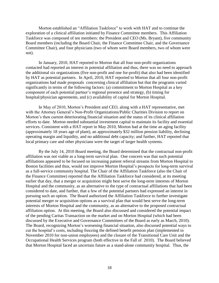Morton established an "Affiliation Taskforce" to work with HAT and to continue the exploration of a clinical affiliation initiated by Finance Committee members. This Affiliation Taskforce was composed of ten members: the President and CEO (Ms. Bryant), five community Board members (including the Board Chair, the Finance Committee Chair, and the Governance Committee Chair), and four physicians (two of whom were Board members, two of whom were not).

In January, 2010, HAT reported to Morton that all four non-profit organizations contacted had reported an interest in potential affiliation and thus, there was no need to approach the additional six organizations (five non-profit and one for-profit) that also had been identified by HAT as potential partners. In April, 2010, HAT reported to Morton that all four non-profit organizations had made proposals concerning clinical affiliation but that the programs varied significantly in terms of the following factors: (a) commitment to Morton Hospital as a key component of each potential partner's regional presence and strategy, (b) timing for hospital/physician agreements, and (c) availability of capital for Morton Hospital.

In May of 2010, Morton's President and CEO, along with a HAT representative, met with the Attorney General's Non-Profit Organizations/Public Charities Division to report on Morton's then current deteriorating financial situation and the status of its clinical affiliation efforts to date. Morton needed substantial investment capital to maintain its facility and essential services. Consistent with a HAT report in May 2010, Morton had at the time an aging facility (approximately 18 years age of plant), an approximately \$32 million pension liability, declining operating margin and liquidity, and no additional debt capacity; and further, HAT reported that local primary care and other physicians were the target of larger health systems.

By the July 14, 2010 Board meeting, the Board determined that the contractual non-profit affiliation was not viable as a long-term survival plan. One concern was that such potential affiliations appeared to be focused on increasing patient referral streams from Morton Hospital to Boston facilities and thus, would not improve Morton Hospital's prospects for long-term survival as a full-service community hospital. The Chair of the Affiliation Taskforce (also the Chair of the Finance Committee) reported that the Affiliation Taskforce had considered, at its meeting earlier that day, that a merger or acquisition might best serve the long-term interests of Morton Hospital and the community, as an alternative to the type of contractual affiliations that had been considered to date, and further, that a few of the potential partners had expressed an interest in pursuing such an option. The Board authorized the Affiliation Taskforce to further investigate potential merger or acquisition options as a survival plan that would best serve the long-term interests of Morton Hospital and the community, as an alternative to the proposed contractual affiliation option. At this meeting, the Board also discussed and considered the potential impact of the pending Caritas Transaction on the market and on Morton Hospital (which had been discussed by the Executive and Governance Committees of the Board as early as March, 2010). The Board, recognizing Morton's worsening financial situation, also discussed potential ways to cut the hospital's costs, including freezing the defined benefit pension plan (implemented in November 2010 for non-union employees) and the closure of the Transitional Care Unit and the Occupational Health Services program (both effective in the Fall of 2010). The Board believed that Morton Hospital faced an uncertain future as a stand-alone community hospital. Thus, the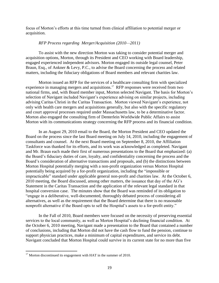focus of Morton's efforts at this time turned from clinical affiliation to potential merger or acquisition.

#### *RFP Process regarding Merger/Acquisition (2010—2011)*

To assist with the new direction Morton was taking to consider potential merger and acquisition options, Morton, through its President and CEO working with Board leadership, engaged experienced independent advisors. Morton engaged its outside legal counsel, Peter Braun, Esq., of Ankner & Levy, P.C., to advise the Board concerning the process and related matters, including the fiduciary obligations of Board members and relevant charities law.

Morton issued an RFP for the services of a healthcare consulting firm with specialized experience in managing mergers and acquisitions.<sup>17</sup> RFP responses were received from two national firms, and, with Board member input, Morton selected Navigant. The basis for Morton's selection of Navigant included Navigant's experience advising on similar projects, including advising Caritas Christi in the Caritas Transaction. Morton viewed Navigant's experience, not only with health care mergers and acquisitions generally, but also with the specific regulatory and court approval processes required under Massachusetts law, to be a determinative factor. Morton also engaged the consulting firm of Denterlein Worldwide Public Affairs to assist Morton with its communications strategy concerning the RFP process and its financial condition.

In an August 29, 2010 email to the Board, the Morton President and CEO updated the Board on the process since the last Board meeting on July 14, 2010, including the engagement of consultants and counsel. At the next Board meeting on September 8, 2010, the Affiliation Taskforce was thanked for its efforts, and its work was acknowledged as completed. Navigant and Mr. Braun each made their first of numerous presentations to the Board that emphasized: (a) the Board's fiduciary duties of care, loyalty, and confidentiality concerning the process and the Board's consideration of alternative transactions and proposals, and (b) the distinctions between Morton Hospital potentially merging with a non-profit organization versus Morton Hospital potentially being acquired by a for-profit organization, including the "impossible or impracticable" standard under applicable general non-profit and charities law. At the October 6, 2010 meeting, the Board discussed, among other matters, the issuance that day of the AG's Statement in the Caritas Transaction and the application of the relevant legal standard in that hospital conversion case. The minutes show that the Board was reminded of its obligation to "engage in a deliberative, well-documented, thoroughly debated process of considering all alternatives, as well as the requirement that the Board determine that there is no reasonable nonprofit alternative if the Board opts to sell the Hospital's assets to a for-profit entity."

In the Fall of 2010, Board members were focused on the necessity of preserving essential services to the local community, as well as Morton Hospital's declining financial condition. At the October 6, 2010 meeting, Navigant made a presentation to the Board that contained a number of conclusions, including that Morton did not have the cash flow to fund the pension, continue to support physician practices, make a minimum of capital expenditures, and service its debt. Navigant concluded that Morton Hospital could survive in its current state for no more than five

 $17$  Morton discontinued its engagement with HAT in the summer of 2010.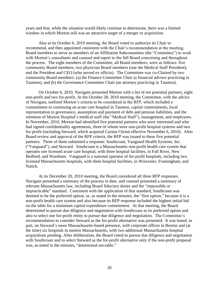years and that, while the situation would likely continue to deteriorate, there was a limited window in which Morton still was an attractive target of a merger or acquisition.

Also at its October 6, 2010 meeting, the Board voted to authorize its Chair to recommend, and then appointed consistent with the Chair's recommendation at the meeting, Board members to serve as members of an Affiliation Subcommittee (the "Committee") to work with Morton's consultants and counsel and report to the full Board concerning and throughout the process. The eight members of the Committee, all Board members, were as follows: five community Board members, two physician Board members (one the Medical Staff President), and the President and CEO (who served ex officio). The Committee was co-Chaired by two community Board members: (a) the Finance Committee Chair (a financial advisor practicing in Taunton), and (b) the Governance Committee Chair (an attorney practicing in Taunton).

On October 6, 2010, Navigant presented Morton with a list of ten potential partners, eight non-profit and two for-profit. At the October 28, 2010 meeting, the Committee, with the advice of Navigant, outlined Morton's criteria to be considered in the RFP, which included a commitment to continuing an acute care hospital in Taunton, capital commitments, local representation in governance, assumption and payment of debt and pension liabilities, and the retention of Morton Hospital's medical staff (the "Medical Staff"), management, and employees. In November, 2010, Morton had identified five potential partners who were interested and who had signed confidentiality agreements, three of whom were non-profit hospital systems and two for-profit (including Steward, which acquired Caritas Christi effective November 6, 2010). After Board review and approval of the RFP criteria, the RFP was issued to these five potential partners. Three of them submitted a response: Southcoast, Vanguard Health Systems, Inc. ("Vanguard"), and Steward. Southcoast is a Massachusetts non-profit health care system that operates one licensed acute care hospital, with three hospital facilities, in Fall River, New Bedford, and Wareham. Vanguard is a national operator of for-profit hospitals, including two licensed Massachusetts hospitals, with three hospital facilities, in Worcester, Framingham, and Natick.

At its December 20, 2010 meeting, the Board considered all three RFP responses. Navigant presented a summary of the process to date, and counsel presented a summary of relevant Massachusetts law, including Board fiduciary duties and the "impossible or impracticable" standard. Consistent with the application of that standard, Southcoast was deemed to be the preferred option, or, as stated in the minutes, the "first option," because it is a non-profit health care system and also because its RFP response included the highest initial bid on the table for a minimum capital expenditure commitment. At that meeting, the Board determined to pursue due diligence and negotiation with Southcoast as its preferred option and also to select one for-profit entity to pursue due diligence and negotiation. The Committee's recommendation to consider Steward as the for-profit alternative was presented. It was based, in part, on Steward's more Massachusetts-based presence, with corporate offices in Boston and (at the time) six hospitals in eastern Massachusetts, with two additional Massachusetts hospital acquisitions pending. After deliberation, the Board voted to pursue due diligence and negotiation with Southcoast and to select Steward as the for-profit alternative only if the non-profit proposal was, as noted in the minutes, "determined unviable."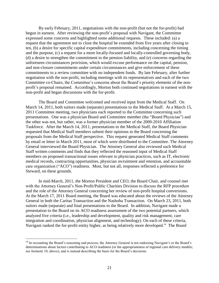By early February, 2011, negotiations with the non-profit (but not the for-profit) had begun in earnest. After reviewing the non-profit's proposal with Navigant, the Committee expressed some concerns and highlighted some additional requests. These included: (a) a request that the agreement not to close the hospital be extended from five years after closing to ten, (b) a desire for specific capital expenditure commitments, including concerning the timing and the purpose, (c) a request for a more locally-focused and locally-controlled governing body, (d) a desire to strengthen the commitment to the pension liability, and (e) concerns regarding the unforeseen circumstances provision, which would excuse performance on the capital, pension, and non-closure commitments under certain circumstances and give enforcement of these commitments to a review committee with no independent funds. By late February, after further negotiation with the non-profit, including meetings with its representatives and each of the two Committee co-Chairs, the Committee's concerns about the Board's priority elements of the nonprofit's proposal remained. Accordingly, Morton both continued negotiations in earnest with the non-profit and began discussions with the for-profit.

The Board and Committee welcomed and received input from the Medical Staff. On March 14, 2011, both suitors made (separate) presentations to the Medical Staff. At a March 15, 2011 Committee meeting, two physicians each reported to the Committee concerning such presentations. One was a physician Board and Committee member (the "Board Physician") and the other was not, but rather, was a former physician member of the 2009-2010 Affiliation Taskforce. After the March 14, 2011, presentations to the Medical Staff, the Board Physician requested that Medical Staff members submit their opinions to the Board concerning the proposals from the Medical Staff perspective. This request generated Medical Staff comments by email or letter in March 2011, most of which were distributed to the Committee. The Attorney General interviewed the Board Physician. The Attorney General also reviewed such Medical Staff written comments and finds that they reflected the reasoned input of Medical Staff members on proposed transactional issues relevant to physician practices, such as IT, electronic medical records, contracting opportunities, physician recruitment and retention, and accountable care organization ("ACO") readiness. Most, but not all, responses reflected a preference for Steward, on these grounds.

In mid-March, 2011, the Morton President and CEO, the Board Chair, and counsel met with the Attorney General's Non-Profit/Public Charities Division to discuss the RFP procedure and the role of the Attorney General concerning her review of non-profit hospital conversions. At the March 17, 2011 Board meeting, the Board was educated about the reviews of the Attorney General in both the Caritas Transaction and the Nashoba Transaction. On March 23, 2011, both suitors made (separate) and final presentations to the Board. In addition, Navigant made a presentation to the Board on its ACO readiness assessment of the two potential partners, which analyzed five criteria (i.e., leadership and development, quality and risk management, care integration and coordination, physician alignment, and technology). On each of these criteria, Navigant ranked the for-profit entity higher, as being relatively more developed.<sup>18</sup> The Board

<sup>&</sup>lt;sup>18</sup> In recounting the Board's reasoning and process, the Attorney General is not endorsing Navigant's or the Board's determinations about factors contributing to ACO readiness (or the appropriateness of regional care delivery models; see footnote 10, above), and is instead describing the basis for the Board's decisions.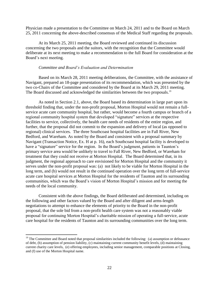Physician made a presentation to the Committee on March 24, 2011 and to the Board on March 25, 2011 concerning the above-described consensus of the Medical Staff regarding the proposals.

At its March 25, 2011 meeting, the Board reviewed and continued its discussion concerning the two proposals and the suitors, with the recognition that the Committee would deliberate at its next meeting to make a recommendation to the full Board for consideration at the Board's next meeting.

#### *Committee and Board's Evaluation and Determination*

Based on its March 28, 2011 meeting deliberations, the Committee, with the assistance of Navigant, prepared an 18-page presentation of its recommendation, which was presented by the two co-Chairs of the Committee and considered by the Board at its March 29, 2011 meeting. The Board discussed and acknowledged the similarities between the two proposals.<sup>19</sup>

As noted in Section 2.1, above, the Board based its determination in large part upon its threshold finding that, under the non-profit proposal, Morton Hospital would not remain a fullservice acute care community hospital, but rather, would become a fourth campus or branch of a regional community hospital system that developed "signature" services at the respective facilities to service, collectively, the health care needs of residents of the entire region, and further, that the proposal did not commit to the expansion and delivery of local (as opposed to regional) clinical services. The three Southcoast hospital facilities are in Fall River, New Bedford, and Wareham. As noted by the Board and consistent with a proposal summary by Navigant (Transaction Notice, Ex. H at p. 16), each Southcoast hospital facility is developed to have a "signature" service for the region. In the Board's judgment, patients in Taunton's primary service area would be unlikely to travel to Fall River, New Bedford, or Wareham for treatment that they could not receive at Morton Hospital. The Board determined that, in its judgment, the regional approach to care envisioned for Morton Hospital and the community it serves under the non-profit proposal was: (a) not likely to be viable for Morton Hospital in the long term, and (b) would not result in the continued operation over the long term of full-service acute care hospital services at Morton Hospital for the residents of Taunton and its surrounding communities, which was the Board's vision of Morton Hospital's mission and for meeting the needs of the local community.

Consistent with the above findings, the Board deliberated and determined, including on the following and other factors valued by the Board and after diligent and arms-length negotiations to attempt to enhance the elements of priority to the Board in the non-profit proposal, that the sole bid from a non-profit health care system was not a reasonably viable proposal for continuing Morton Hospital's charitable mission of operating a full-service, acute care hospital for the residents of Taunton and its surrounding communities over the long term.

 $19$  The Committee and Board noted that proposal similarities included the following: (a) assumption or defeasance of debt, (b) assumption of pension liability, (c) maintaining current community benefit levels, (d) maintaining current charity care levels, (e) offering employees, including senior management, comparable positions at Closing, and (f) use of the Morton Hospital name.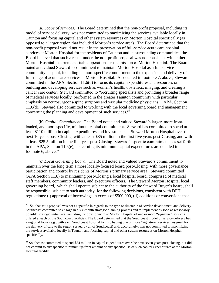(a) *Scope of services*. The Board determined that the non-profit proposal, including its model of service delivery, was not committed to maximizing the services available locally in Taunton and focusing capital and other system resources on Morton Hospital specifically (as opposed to a larger region that included Morton's service area). The Board determined that the non-profit proposal would not result in the preservation of full-service acute care hospital services at Morton Hospital for the residents of Taunton and its surrounding communities; the Board believed that such a result under the non-profit proposal was not consistent with either Morton Hospital's current charitable operations or the mission of Morton Hospital. The Board noted and valued Steward's commitment to maintain Morton Hospital as a full service community hospital, including its more specific commitment to the expansion and delivery of a full-range of acute care services at Morton Hospital. As detailed in footnote 7, above, Steward committed in the APA, Section 11.6(d) to focus its capital expenditures and resources on building and developing services such as women's health, obstetrics, imaging, and creating a cancer care center. Steward committed to "recruiting specialists and providing a broader range of medical services locally, performed in the greater Taunton community with particular emphasis on neurosurgeons/spine surgeons and vascular medicine physicians." APA, Section 11.6(d). Steward also committed to working with the local governing board and management concerning the planning and development of such services.<sup>20</sup>

(b) *Capital Commitment.* The Board noted and valued Steward's larger, more frontloaded, and more specific, minimum capital commitment. Steward has committed to spend at least \$110 million in capital expenditures and investments at Steward Morton Hospital over the next 10 years post-Closing, with at least \$85 million in the first five years post-Closing, and with at least \$25.5 million in the first year post-Closing. Steward's specific commitments, as set forth in the APA, Section 11.6(e), concerning its minimum capital expenditures are detailed in footnote 6, above. $21$ 

(c) *Local Governing Board.*The Board noted and valued Steward's commitment to maintain over the long term a more locally-focused board post-Closing, with more governance participation and control by residents of Morton's primary service area. Steward committed (APA Section 11.8) to maintaining post-Closing a local hospital board, comprised of medical staff members, community leaders, and executive officers. The Steward Morton Hospital local governing board, which shall operate subject to the authority of the Steward Buyer's board, shall be responsible, subject to such authority, for the following decisions, consistent with DPH regulations: (i) approval of borrowings in excess of \$500,000, (ii) additions or conversions that

<sup>&</sup>lt;sup>20</sup> Southcoast's proposal was not as specific in regards to the type or timetable of service development and delivery. Southcoast committed to engage in a six-month strategic planning process and to implement as soon as reasonably possible strategic initiatives, including the development at Morton Hospital of one or more "signature" services offered at each of the Southcoast facilities. The Board determined that the Southcoast model of service delivery had a regional focus (e.g., with each Southcoast hospital facility having one or more "signature" services designed for the delivery of care to the region served by all of Southcoast) and, accordingly, was not committed to maximizing the services available locally in Taunton and focusing capital and other system resources on Morton Hospital specifically.

 $21$  Southcoast committed to spend \$84 million in capital expenditures over the next seven years post-closing, but did not commit to any specific minimum up-front amount or any specific use of such capital expenditures at the Morton Hospital facility.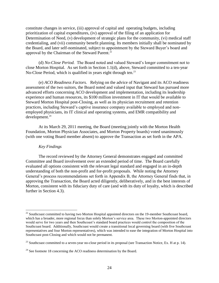constitute changes in service, (iii) approval of capital and operating budgets, including prioritization of capital expenditures, (iv) approval of the filing of an application for Determination of Need, (v) development of strategic plans for the community, (vi) medical staff credentialing, and (vii) community benefit planning. Its members initially shall be nominated by the Board, and later self-nominated, subject to appointment by the Steward Buyer's board and approval by the Chairman of the Steward Parent.<sup>22</sup>

(d) *No-Close Period.* The Board noted and valued Steward's longer commitment not to close Morton Hospital. As set forth in Section 1.1(d), above, Steward committed to a ten-year No-Close Period, which is qualified in years eight through ten.<sup>23</sup>

(e) *ACO Readiness Factors.* Relying on the advice of Navigant and its ACO readiness assessment of the two suitors, the Board noted and valued input that Steward has pursued more advanced efforts concerning ACO development and implementation, including its leadership experience and human resources, its \$100 million investment in IT that would be available to Steward Morton Hospital post-Closing, as well as its physician recruitment and retention practices, including Steward's captive insurance company available to employed and nonemployed physicians, its IT clinical and operating systems, and EMR compatibility and development.<sup>24</sup>

At its March 29, 2011 meeting, the Board (meeting jointly with the Morton Health Foundation, Morton Physician Associates, and Morton Property boards) voted unanimously (with one voting Board member absent) to approve the Transaction as set forth in the APA.

#### *Key Findings*

The record reviewed by the Attorney General demonstrates engaged and committed Committee and Board involvement over an extended period of time. The Board carefully evaluated all options consistent with the relevant legal standard and engaged in an in-depth understanding of both the non-profit and for-profit proposals. While noting the Attorney General's process recommendations set forth in Appendix B, the Attorney General finds that, in approving the Transaction, the Board acted diligently, deliberatively, and in the best interests of Morton, consistent with its fiduciary duty of care (and with its duty of loyalty, which is described further in Section 4.3).

 $\overline{a}$ <sup>22</sup> Southcoast committed to having two Morton Hospital appointed directors on the 19-member Southcoast board, which has a broader, more regional focus than solely Morton's service area. These two Morton-appointed directors would serve for two years and then Southcoast's standard board practices would control the composition of the Southcoast board. Additionally, Southcoast would create a transitional local governing board (with five Southcoast representatives and four Morton representatives), which was intended to ease the integration of Morton Hospital into Southcoast post-Closing and which would not be permanent.

 $^{23}$  Southcoast committed to a seven-year no-close period in its proposal (see Transaction Notice, Ex. H at p. 14).

 $24$  See footnote 18 concerning the ACO readiness determination by the Board.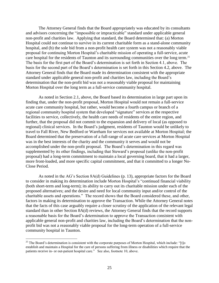The Attorney General finds that the Board appropriately was educated by its consultants and advisors concerning the "impossible or impracticable" standard under applicable general non-profit and charities law. Applying that standard, the Board determined that: (a) Morton Hospital could not continue to survive in its current charitable form as a stand-alone community hospital, and (b) the sole bid from a non-profit health care system was not a reasonably viable proposal for continuing Morton Hospital's charitable mission of operating a full-service, acute care hospital for the residents of Taunton and its surrounding communities over the long term.<sup>25</sup> The basis for the first part of the Board's determination is set forth in Section 4.1, above. The basis for the second part of the Board's determination is set forth in this Section 4.2, above. The Attorney General finds that the Board made its determination consistent with the appropriate standard under applicable general non-profit and charities law, including the Board's determination that the non-profit bid was not a reasonably viable proposal for maintaining Morton Hospital over the long term as a full-service community hospital.

As noted in Section 2.1, above, the Board based its determination in large part upon its finding that, under the non-profit proposal, Morton Hospital would not remain a full-service acute care community hospital, but rather, would become a fourth campus or branch of a regional community hospital system that developed "signature" services at the respective facilities to service, collectively, the health care needs of residents of the entire region, and further, that the proposal did not commit to the expansion and delivery of local (as opposed to regional) clinical services. In the Board's judgment, residents of Taunton would be unlikely to travel to Fall River, New Bedford or Wareham for services not available at Morton Hospital; the Board determined that the preservation of a full-range of acute care services at Morton Hospital was in the best interests of the charity and the community it serves and would not be accomplished under the non-profit proposal. The Board's determination in this regard was supplemented by its other findings, including that Steward's proposal (unlike the non-profit proposal) had a long-term commitment to maintain a local governing board, that it had a larger, more front-loaded, and more specific capital commitment, and that it committed to a longer No-Close Period.

As noted in the AG's Section 8A(d) Guidelines (p. 13), appropriate factors for the Board to consider in making its determination include Morton Hospital's "continued financial viability (both short-term and long-term); its ability to carry out its charitable mission under each of the proposed alternatives; and the desire and need for local community input and/or control of the charitable assets and operations." The record shows that the Board considered these, and other, factors in making its determination to approve the Transaction. While the Attorney General notes that the facts of this case arguably require a closer scrutiny of the application of the relevant legal standard than in other Section 8A(d) reviews, the Attorney General finds that the record supports a reasonable basis for the Board's determination to approve the Transaction consistent with applicable general non-profit and charities law, including the Board's determination that the nonprofit bid was not a reasonably viable proposal for the long-term operation of a full-service community hospital in Taunton.

<sup>&</sup>lt;sup>25</sup> The Board's determination is consistent with the corporate purposes of Morton Hospital, which include: "[t]o establish and maintain a Hospital for the care of persons suffering from illness or disabilities which require that the patients receive in- or out-patient hospital care." See also, footnote 10, above.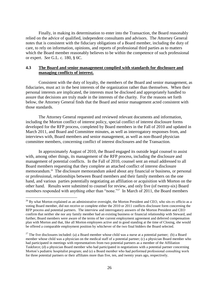Finally, in making its determination to enter into the Transaction, the Board reasonably relied on the advice of qualified, independent consultants and advisors. The Attorney General notes that is consistent with the fiduciary obligations of a Board member, including the duty of care, to rely on information, opinions, and reports of professional third parties as to matters which the Board member reasonably believes to be within the competence of such professional or expert. *See* G.L. c. 180, § 6C.

#### **4.3 The Board and senior management complied with standards for disclosure and managing conflicts of interest.**

Consistent with the duty of loyalty, the members of the Board and senior management, as fiduciaries, must act in the best interests of the organization rather than themselves. When their personal interests are implicated, the interests must be disclosed and appropriately handled to assure that decisions are truly made in the interests of the charity. For the reasons set forth below, the Attorney General finds that the Board and senior management acted consistent with those standards.

The Attorney General requested and reviewed relevant documents and information, including the Morton conflict of interest policy, special conflict of interest disclosure forms developed for the RFP process, completed by Board members in the Fall of 2010 and updated in March 2011, and Board and Committee minutes, as well as interrogatory responses from, and interviews with, Board members and senior management, as well as non-Board physician committee members, concerning conflict of interest disclosures and the Transaction.

In approximately August of 2010, the Board engaged its outside legal counsel to assist with, among other things, its management of the RFP process, including the disclosure and management of potential conflicts. In the Fall of 2010, counsel sent an email addressed to all Board members requesting that they complete an attached conflict of interest disclosure memorandum.<sup>26</sup> The disclosure memorandum asked about any financial or business, or personal or professional, relationships between Board members and their family members on the one hand, and various parties potentially negotiating an affiliation or acquisition with Morton on the other hand. Results were submitted to counsel for review, and only five (of twenty-six) Board members responded with anything other than "none."<sup>27</sup> In March of 2011, the Board members

 $26$  By what Morton explained as an administrative oversight, the Morton President and CEO, who sits ex officio as a voting Board member, did not receive or complete either the 2010 or 2011 conflicts disclosure form concerning the RFP process and potential partners. The interview and interrogatory answers of the Morton President and CEO confirm that neither she nor any family member had an existing business or financial relationship with Steward, and further, Board members were aware of the terms of her current employment agreement and deferred compensation plan with Morton and that, like all Morton employees active and in good standing at the time of Closing, she would be offered a comparable employment position by whichever of the two final bidders the Board selected.

<sup>&</sup>lt;sup>27</sup> The five disclosures included: (a) a Board member whose child was a nurse at a potential partner; (b) a Board member whose child was a physician on the medical staff of a potential partner; (c) a physician Board member who had participated in meetings with representatives from two potential partners as a member of the Affiliation Taskforce; (d) a physician Board member who had participated in negotiations with a potential partner concerning Morton's pediatric hospitalist program; and (e) a Board member who had performed professional consulting work for three potential partners or their affiliates more than five, ten, and twenty years ago, respectively.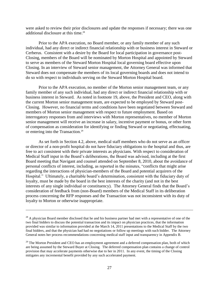were asked to review their prior disclosures and update the responses if necessary; there was one additional disclosure at this time.<sup>28</sup>

Prior to the APA execution, no Board member, or any family member of any such individual, had any direct or indirect financial relationship with or business interest in Steward or Cerberus. Consistent with a desire by the Board for local participation in governance post-Closing, members of the Board will be nominated by Morton Hospital and appointed by Steward to serve as members of the Steward Morton Hospital local governing board effective upon Closing. In an interview of Steward senior management, the Attorney General was informed that Steward does not compensate the members of its local governing boards and does not intend to do so with respect to individuals serving on the Steward Morton Hospital board.

Prior to the APA execution, no member of the Morton senior management team, or any family member of any such individual, had any direct or indirect financial relationship with or business interest in Steward. As noted in footnote 19, above, the President and CEO, along with the current Morton senior management team, are expected to be employed by Steward post-Closing. However, no financial terms and conditions have been negotiated between Steward and members of Morton senior management with respect to future employment. Based on interrogatory responses from and interviews with Morton representatives, no member of Morton senior management will receive an increase in salary, incentive payment or bonus, or other form of compensation as consideration for identifying or finding Steward or negotiating, effectuating, or entering into the Transaction.<sup>29</sup>

As set forth in Section 4.2, above, medical staff members who do not serve as an officer or director of a non-profit hospital do not have fiduciary obligations to the hospital and thus, are free to act consistent with their private interests as physicians. With respect to consideration of Medical Staff input in the Board's deliberations, the Board was advised, including at the first Board meeting that Navigant and counsel attended on September 8, 2010, about the avoidance of personal conflicts of interest, including, as reported in the minutes, "conflicts that might arise regarding the interactions of physician-members of the Board and potential acquirers of the Hospital." Ultimately, a charitable board's determination, consistent with the fiduciary duty of loyalty, must be made by the board in the best interests of the charity (and not in the best interests of any single individual or constituency). The Attorney General finds that the Board's consideration of feedback from (non-Board) members of the Medical Staff in its deliberation process concerning the RFP responses and the Transaction was not inconsistent with its duty of loyalty to Morton or otherwise inappropriate.

<sup>&</sup>lt;sup>28</sup> A physician Board member disclosed that he and his business partner had met with a representative of one of the two final bidders to discuss the potential transaction and its impact on physician practices, that the information provided was similar to information provided at the March 14, 2011 presentations to the Medical Staff by the two final bidders, and that the physician had had no negotiations or follow up meetings with such bidder. The Attorney General notes her process recommendations concerning medical staff input and transparency in Appendix B.

 $29$  The Morton President and CEO has an employment agreement and a deferred compensation plan, both of which are being assumed by the Steward Buyer at Closing. The deferred compensation plan contains a change of control provision that may accelerate payments otherwise due to her in 2011. In any event, the timing of the Closing mitigates any incremental benefit provided by any such accelerated payment.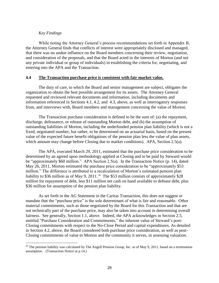#### *Key Findings*

 $\overline{a}$ 

While noting the Attorney General's process recommendations set forth in Appendix B, the Attorney General finds that conflicts of interest were appropriately disclosed and managed, that there was no undue influence on the Board members concerning their review, negotiation, and consideration of the proposals, and that the Board acted in the interests of Morton (and not any private individual or group of individuals) in establishing the criteria for, negotiating, and entering into the APA and the Transaction.

#### **4.4 The Transaction purchase price is consistent with fair market value.**

The duty of care, to which the Board and senior management are subject, obligates the organization to obtain the best possible arrangement for its assets. The Attorney General requested and reviewed relevant documents and information, including documents and information referenced in Sections 4.1, 4.2, and 4.3, above, as well as interrogatory responses from, and interviews with, Board members and management concerning the value of Morton.

The Transaction purchase consideration is defined to be the sum of: (a) the repayment, discharge, defeasance, or release of outstanding Morton debt, and (b) the assumption of outstanding liabilities of Morton, including the underfunded pension plan liability (which is not a fixed, negotiated number, but rather, to be determined on an actuarial basis, based on the present value of the expected future benefit obligations of the pension plan less the value of plan assets, which amount may change before Closing due to market conditions). APA, Section 2.5(a).

The APA, executed March 29, 2011, estimated that the purchase price consideration to be determined by an agreed upon methodology applied at Closing and to be paid by Steward would be "approximately \$60 million." APA Section 2.5(a). In the Transaction Notice (p. 14), dated May 26, 2011, Morton estimated the purchase price consideration to be "approximately \$53" million." The difference is attributed to a recalculation of Morton's estimated pension plan liability to \$36 million as of May 9, 2011.<sup>30</sup> The \$53 million consists of approximately \$28 million for repayment of debt, less \$11 million net cash on hand available to defease debt, plus \$36 million for assumption of the pension plan liability.

As set forth in the AG Statement in the Caritas Transaction, this does not suggest or mandate that the "purchase price" is the sole determinant of what is fair and reasonable. Other material commitments, such as those negotiated by the Board for this Transaction and that are not technically part of the purchase price, may also be taken into account in determining overall fairness. See generally, Section 1.1, above. Indeed, the APA acknowledges in Section 2.5, entitled "Purchase Consideration and Commitments," the inherent value of Steward's post-Closing commitments with respect to the No-Close Period and capital expenditures. As detailed in Section 4.2, above, the Board considered both purchase price consideration, as well as post-Closing commitments of value to Morton and the community it serves, in assessing valuation.

 $30$  The pension liability was calculated by The Angell Pension Group, Inc. as of May 9, 2011, based on a termination assumption. (Transaction Notice at p.14.)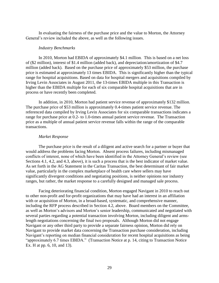In evaluating the fairness of the purchase price and the value to Morton, the Attorney General's review included the above, as well as the following issues.

#### *Industry Benchmarks*

In 2010, Morton had EBIDA of approximately \$4.1 million. This is based on a net loss of (\$2 million), interest of \$1.4 million (added back), and depreciation/amortization of \$4.7 million (added back). Based on the purchase price of approximately \$53 million, the purchase price is estimated at approximately 13 times EBIDA. This is significantly higher than the typical range for hospital acquisitions. Based on data for hospital mergers and acquisitions compiled by Irving Levin Associates in August 2011, the 13-times EBIDA multiple in this Transaction is higher than the EBIDA multiple for each of six comparable hospital acquisitions that are in process or have recently been completed.

In addition, in 2010, Morton had patient service revenue of approximately \$132 million. The purchase price of \$53 million is approximately 0.4-times patient service revenue. The referenced data compiled by Irving Levin Associates for six comparable transactions indicates a range for purchase price at 0.2- to 1.0-times annual patient service revenue. The Transaction price as a multiple of annual patient service revenue falls within the range of the comparable transactions.

#### *Market Response*

The purchase price is the result of a diligent and active search for a partner or buyer that would address the problems facing Morton. Absent process failures, including mismanaged conflicts of interest, none of which have been identified in the Attorney General's review (see Sections 4.1, 4.2, and 4.3, above), it is such a process that is the best indicator of market value. As set forth in the AG Statement in the Caritas Transaction, the best determinant of fair market value, particularly in the complex marketplace of health care where sellers may have significantly divergent conditions and negotiating positions, is neither opinions nor industry ranges, but rather, the market response to a carefully designed and managed sale process.

Facing deteriorating financial condition, Morton engaged Navigant in 2010 to reach out to other non-profit and for-profit organizations that may have had an interest in an affiliation with or acquisition of Morton, in a broad-based, systematic, and comprehensive manner, including the RFP process described in Section 4.2, above. Board members on the Committee, as well as Morton's advisors and Morton's senior leadership, communicated and negotiated with several parties regarding a potential transaction involving Morton, including diligent and armslength negotiations concerning the final two proposals. Although Morton did not engage Navigant or any other third party to provide a separate fairness opinion, Morton did rely on Navigant to provide market data concerning the Transaction purchase consideration, including Navigant's reporting on median financial consideration for recent hospital acquisitions as being "approximately 6.7 times EBIDA." (Transaction Notice at p. 14, citing to Transaction Notice Ex. H at pp. 6, 10, and 13).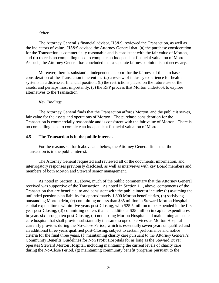#### *Other*

The Attorney General's financial advisor, HS&S, reviewed the Transaction, as well as the indicators of value. HS&S advised the Attorney General that: (a) the purchase consideration for the Transaction is commercially reasonable and is consistent with the fair value of Morton, and (b) there is no compelling need to complete an independent financial valuation of Morton. As such, the Attorney General has concluded that a separate fairness opinion is not necessary.

Moreover, there is substantial independent support for the fairness of the purchase consideration of the Transaction inherent in: (a) a review of industry experience for health systems in a distressed financial position, (b) the restrictions placed on the future use of the assets, and perhaps most importantly, (c) the RFP process that Morton undertook to explore alternatives to the Transaction.

#### *Key Findings*

The Attorney General finds that the Transaction affords Morton, and the public it serves, fair value for the assets and operations of Morton. The purchase consideration for the Transaction is commercially reasonable and is consistent with the fair value of Morton. There is no compelling need to complete an independent financial valuation of Morton.

#### **4.5 The Transaction is in the public interest.**

For the reasons set forth above and below, the Attorney General finds that the Transaction is in the public interest.

The Attorney General requested and reviewed all of the documents, information, and interrogatory responses previously disclosed, as well as interviews with key Board members and members of both Morton and Steward senior management.

As noted in Section III, above, much of the public commentary that the Attorney General received was supportive of the Transaction. As noted in Section 1.1, above, components of the Transaction that are beneficial to and consistent with the public interest include: (a) assuming the unfunded pension plan liability for approximately 1,800 Morton beneficiaries, (b) satisfying outstanding Morton debt, (c) committing no less than \$85 million in Steward Morton Hospital capital expenditures within five years post-Closing, with \$25.5 million to be expended in the first year post-Closing, (d) committing no less than an additional \$25 million in capital expenditures in years six through ten post-Closing, (e) not closing Morton Hospital and maintaining an acute care hospital that shall provide substantially the same scope of services as Morton Hospital currently provides during the No-Close Period, which is essentially seven years unqualified and an additional three years qualified post-Closing, subject to certain performance and notice criteria for the final three years, (f) maintaining charity care pursuant to the Attorney General's Community Benefits Guidelines for Non Profit Hospitals for as long as the Steward Buyer operates Steward Morton Hospital, including maintaining the current levels of charity care during the No-Close Period, (g) maintaining community benefit programs pursuant to the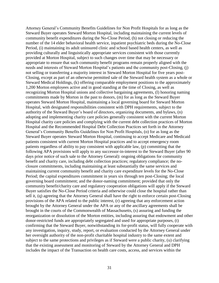Attorney General's Community Benefits Guidelines for Non Profit Hospitals for as long as the Steward Buyer operates Steward Morton Hospital, including maintaining the current levels of community benefit expenditures during the No-Close Period, (h) not closing or reducing the number of the 14 elder behavioral health service, inpatient psychiatric beds during the No-Close Period, (i) maintaining its adult uninsured clinic and school based health centers, as well as providing culturally and linguistically appropriate services consistent with those currently provided at Morton Hospital, subject to such changes over time that may be necessary or appropriate to ensure that such community benefit programs remain properly aligned with the needs and interests of Steward Morton Hospital's patients and the community post-Closing, (j) not selling or transferring a majority interest in Steward Morton Hospital for five years post-Closing, except as part of an otherwise permitted sale of the Steward health system as a whole or Steward Medical Holdings, (k) offering comparable employment positions to the approximately 1,200 Morton employees active and in good standing at the time of Closing, as well as recognizing Morton Hospital unions and collective bargaining agreements, (l) honoring naming commitments made by Morton in the past to donors, (m) for as long as the Steward Buyer operates Steward Morton Hospital, maintaining a local governing board for Steward Morton Hospital, with designated responsibilities consistent with DPH requirements, subject to the authority of the Steward Buyer's board of directors, organizing documents, and bylaws, (n) adopting and implementing charity care policies generally consistent with the current Morton Hospital charity care policies and complying with the current debt collection practices of Morton Hospital and the Recommended Hospital Debt Collection Practices set forth in the Attorney General's Community Benefits Guidelines for Non Profit Hospitals, (o) for as long as the Steward Buyer operates Steward Morton Hospital, continuing to accept Medicare and Medicaid patients consistent with current Morton Hospital practices and to accept emergency room patients regardless of ability to pay consistent with applicable law, (p) committing that the following APA provisions will apply to any successor-in-interest to the Steward Buyer (after 90 days prior notice of such sale to the Attorney General): ongoing obligations for community benefit and charity care, including debt collection practices; regulatory compliance; the noclosure commitments, including maintaining at least substantially the same services and maintaining current community benefit and charity care expenditure levels for the No-Close Period; the capital expenditures commitment in years six through ten post-Closing; the local governing board commitment; and the donor-naming commitment; provided that only the community benefit/charity care and regulatory cooperation obligations will apply if the Steward Buyer satisfies the No-Close Period criteria and otherwise could close the hospital rather than sell it, (q) agreeing that the Attorney General shall have the right to enforce certain post-Closing provisions of the APA related to the public interest, (r) agreeing that any enforcement action brought by the Attorney General under the APA or any of the ancillary agreements shall be brought in the courts of the Commonwealth of Massachusetts, (s) assuring and funding the reorganization or dissolution of the Morton entities, including assuring that endowment and other donor-restricted funds are appropriately segregated and used for appropriate purposes, (t) confirming that the Steward Buyer, notwithstanding its for-profit status, will fully cooperate with any investigation, inquiry, study, report, or evaluation conducted by the Attorney General under her oversight authority of the non-profit charitable hospital industry to the same extent and subject to the same protections and privileges as if Steward were a public charity, (u) clarifying that the existing assessment and monitoring of Steward by the Attorney General and DPH includes the impact of the Transaction on health care costs, access, and services within the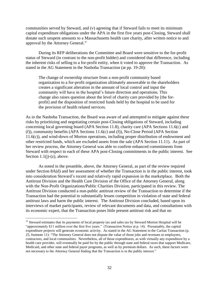communities served by Steward, and (v) agreeing that if Steward fails to meet its minimum capital expenditure obligations under the APA in the first five years post-Closing, Steward shall donate such unspent amounts to a Massachusetts health care charity, after written notice to and approval by the Attorney General.<sup>31</sup>

During its RFP deliberations the Committee and Board were sensitive to the for-profit status of Steward (in contrast to the non-profit bidder) and considered that difference, including the inherent risks of selling to a for-profit entity, when it voted to approve the Transaction. As stated in the AG Statement in the Nashoba Transaction (at pp. 19-20):

The change of ownership structure from a non-profit community based organization to a for-profit organization ultimately answerable to the shareholders creates a significant alteration in the amount of local control and input the community will have in the hospital's future direction and operations. This change also raises question about the level of charity care provided by [the forprofit] and the disposition of restricted funds held by the hospital to be used for the provision of health related services.

As in the Nashoba Transaction, the Board was aware of and attempted to mitigate against these risks by prioritizing and negotiating certain post-Closing obligations of Steward, including concerning local governing board (APA Section 11.8), charity care (APA Sections 11.6(c) and (f)), community benefits (APA Sections 11.6(c) and (f)), No-Close Period (APA Section 11.6(c)), and wind-down of Morton operations, including proper distribution of endowment and other restricted funds, which are excluded assets from the sale (APA Section 11.11). As part of her review process, the Attorney General was able to confirm enhanced commitments from Steward with respect to each of these APA post-Closing commitments in the public interest. See Section  $1.1(j)-(z)$ , above.

As noted in the preamble, above, the Attorney General, as part of the review required under Section 8A(d) and her assessment of whether the Transaction is in the public interest, took into consideration Steward's recent and relatively rapid expansion in the marketplace. Both the Antitrust Division and the Health Care Division of the Office of the Attorney General, along with the Non-Profit Organizations/Public Charities Division, participated in this review. The Antitrust Division conducted a non-public antitrust review of the Transaction to determine if the Transaction had the potential to substantially lessen competition in violation of state and federal antitrust laws and harm the public interest. The Antitrust Division concluded, based upon its interviews of market participants, review of relevant documents and data, and consultations with its economic expert, that the Transaction poses little present antitrust risk and that no

<sup>&</sup>lt;sup>31</sup> Steward estimates that its payments of local property tax and sales tax by Steward Morton Hospital will be "approximately \$11 million over the first five years." (Transaction Notice at p. 14). Presumably, the capital expenditure projects will generate economic activity. As stated in the AG Statement in the Caritas Transaction (p. 25, footnote 11): "The Attorney General does not dispute the value of those jobs and revenues to employees, contractors, and local communities. Nevertheless, all of those expenditures, as with virtually any expenditure by a health care provider, will eventually be paid for by the public through state and federal taxes that support Medicare, Medicaid, and other state and federal payer programs, as well as by premium dollars. As such, these factors were not necessary to the Attorney General finding that the Transaction is in the public interest."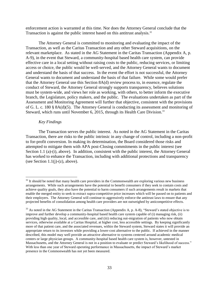enforcement action is warranted at this time. Nor does the Attorney General conclude that the Transaction is against the public interest based on this antitrust analysis.<sup>32</sup>

The Attorney General is committed to monitoring and evaluating the impact of the Transaction, as well as the Caritas Transaction and any other Steward acquisitions, on the relevant marketplace. As stated in the AG Statement in the Caritas Transaction (Appendix A, p. A-9), in the event that Steward, a community-hospital based health care system, can provide effective care in a local setting without raising costs to the public, reducing services, or limiting access or choice, the public would be well-served, and the Attorney General wants to document and understand the basis of that success. In the event the effort is not successful, the Attorney General wants to document and understand the basis of that failure. While some would prefer that the Attorney General use this Section 8A(d) review process to, in essence, regulate the conduct of Steward, the Attorney General strongly supports transparency, believes solutions must be system-wide, and views her role as working, with others, to better inform the executive branch, the Legislature, policy makers, and the public. The evaluations undertaken as part of the Assessment and Monitoring Agreement will further that objective, consistent with the provisions of G. L. c. 180 § 8A(d)(5). The Attorney General is conducting its assessment and monitoring of Steward, which runs until November 6, 2015, through its Health Care Division.<sup>33</sup>

#### *Key Findings*

 $\overline{a}$ 

The Transaction serves the public interest. As noted in the AG Statement in the Caritas Transaction, there are risks to the public intrinsic in any change of control, including a non-profit to for-profit conversion. In making its determination, the Board considered those risks and attempted to mitigate them with APA post-Closing commitments in the public interest (see Section 1.1 (a)-(i), above). In addition, consistent with the public interest, the Attorney General has worked to enhance the Transaction, including with additional protections and transparency (see Section  $1.1(i)-(z)$ , above).

 $32$  It should be noted that many health care providers in the Commonwealth are exploring various new business arrangements. While such arrangements have the potential to benefit consumers if they seek to contain costs and achieve quality goals, they also have the potential to harm consumers if such arrangements result in markets that enable the merged entity to seek to extract supra-competitive price increases which will be passed on to patients and their employers. The Attorney General will continue to aggressively enforce the antitrust laws to ensure that any projected benefits of consolidation among health care providers are not outweighed by anticompetitive effects.

 $33$  As noted in the AG Statement in the Caritas Transaction (Appendix A, p. A-8), "Steward's stated objective is to improve and further develop a community-hospital based health care system capable of (i) managing risk, (ii) providing high quality, local, and accessible care, and (iii) reducing out-migration of patients who now obtain services, otherwise available at a Caritas Hospital, at higher cost, less accessible settings. By keeping significantly more of that patient care, and the associated revenues, within the Steward system, Steward states it will provide an appropriate return to its investors while providing a lower-cost alternative to the public. If achieved in the manner described, this model may well provide an attractive alternative to systems centered around academic medical centers or large physician groups. A community-hospital based health care system is, however, untested in Massachusetts, and the Attorney General is not in a position to evaluate or predict Steward's likelihood of success." With less than one year of Steward operating performance in Massachusetts, the impact of Steward's market presence in the Commonwealth has not yet been measured.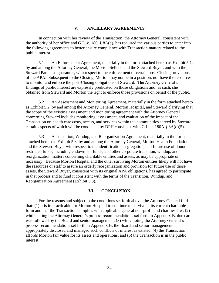#### **V. ANCILLARY AGREEMENTS**

In connection with her review of the Transaction, the Attorney General, consistent with the authority of her office and G.L. c. 180, § 8A(d), has required the various parties to enter into the following agreements to better ensure compliance with Transaction matters related to the public interest.

5.1 An Enforcement Agreement, materially in the form attached hereto as Exhibit 5.1, by and among the Attorney General, the Morton Sellers, and the Steward Buyer, and with the Steward Parent as guarantor, with respect to the enforcement of certain post-Closing provisions of the APA. Subsequent to the Closing, Morton may not be in a position, nor have the resources, to monitor and enforce the post-Closing obligations of Steward. The Attorney General's findings of public interest are expressly predicated on those obligations and, as such, she obtained from Steward and Morton the right to enforce those provisions on behalf of the public.

5.2 An Assessment and Monitoring Agreement, materially in the form attached hereto as Exhibit 5.2, by and among the Attorney General, Morton Hospital, and Steward clarifying that the scope of the existing assessment and monitoring agreement with the Attorney General concerning Steward includes monitoring, assessment, and evaluation of the impact of the Transaction on health care costs, access, and services within the communities served by Steward, certain aspects of which will be conducted by DPH consistent with G.L. c. 180A § 8A(d)(5).

5.3 A Transition, Windup, and Reorganization Agreement, materially in the form attached hereto as Exhibit 5.3, by and among the Attorney General, Morton Health Foundation, and the Steward Buyer with respect to the identification, segregation, and future use of donorrestricted funds, including endowment funds, and other corporate transition, windup, and reorganization matters concerning charitable entities and assets, as may be appropriate or necessary. Because Morton Hospital and the other surviving Morton entities likely will not have the resources or staff to assure an orderly reorganization and provision for future use of those assets, the Steward Buyer, consistent with its original APA obligations, has agreed to participate in that process and to fund it consistent with the terms of the Transition, Windup, and Reorganization Agreement (Exhibit 5.3).

#### **VI. CONCLUSION**

For the reasons and subject to the conditions set forth above, the Attorney General finds that: (1) it is impracticable for Morton Hospital to continue to survive in its current charitable form and that the Transaction complies with applicable general non-profit and charities law, (2) while noting the Attorney General's process recommendations set forth in Appendix B, due care was followed by the Board and senior management, (3) while noting the Attorney General's process recommendations set forth in Appendix B, the Board and senior management appropriately disclosed and managed such conflicts of interest as existed, (4) the Transaction affords Morton fair value for its assets and operations, and (5) the Transaction is in the public interest.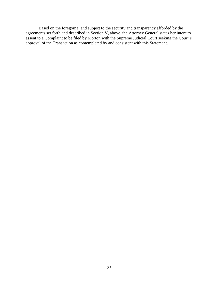Based on the foregoing, and subject to the security and transparency afforded by the agreements set forth and described in Section V, above, the Attorney General states her intent to assent to a Complaint to be filed by Morton with the Supreme Judicial Court seeking the Court's approval of the Transaction as contemplated by and consistent with this Statement.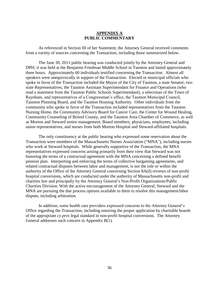#### **APPENDIX A PUBLIC COMMENTARY**

As referenced in Section III of her Statement, the Attorney General received comments from a variety of sources concerning the Transaction, including those summarized below.

The June 30, 2011 public hearing was conducted jointly by the Attorney General and DPH; it was held at the Benjamin Friedman Middle School in Taunton and lasted approximately three hours. Approximately 60 individuals testified concerning the Transaction. Almost all speakers were unequivocally in support of the Transaction. Elected or municipal officials who spoke in favor of the Transaction included the Mayor of the City of Taunton, a state Senator, two state Representatives, the Taunton Assistant Superintendant for Finance and Operations (who read a statement from the Taunton Public Schools Superintendant), a selectman of the Town of Raynham, and representatives of a Congressman's office, the Taunton Municipal Council, Taunton Planning Board, and the Taunton Housing Authority. Other individuals from the community who spoke in favor of the Transaction included representatives from the Taunton Nursing Home, the Community Advisory Board for Cancer Care, the Center for Wound Healing, Community Counseling of Bristol County, and the Taunton Area Chamber of Commerce, as well as Morton and Steward senior management, Board members, physicians, employees, including union representatives, and nurses from both Morton Hospital and Steward-affiliated hospitals.

The only constituency at the public hearing who expressed some reservation about the Transaction were members of the Massachusetts Nurses Association ("MNA"), including nurses who work at Steward hospitals. While generally supportive of the Transaction, the MNA representatives expressed concerns arising primarily from their view that Steward was not honoring the terms of a contractual agreement with the MNA concerning a defined benefit pension plan. Interpreting and enforcing the terms of collective bargaining agreements, and related contractual disputes between labor and management, is not the role or within the authority of the Office of the Attorney General concerning Section 8A(d) reviews of non-profit hospital conversions, which are conducted under the authority of Massachusetts non-profit and charities law and principally by the Attorney General's Non-Profit Organizations/Public Charities Division. With the active encouragement of the Attorney General, Steward and the MNA are pursuing the due process options available to them to resolve this management/labor dispute, including arbitration.

In addition, some health care providers expressed concerns to the Attorney General's Office regarding the Transaction, including ensuring the proper application by charitable boards of the appropriate *cy pres* legal standard in non-profit hospital conversions. The Attorney General addresses such concern in Appendix B(1).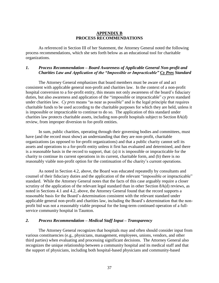#### **APPENDIX B PROCESS RECOMMENDATIONS**

As referenced in Section III of her Statement, the Attorney General noted the following process recommendations, which she sets forth below as an educational tool for charitable organizations.

#### *1. Process Recommendation – Board Awareness of Applicable General Non-profit and Charities Law and Application of the "Impossible or Impracticable" Cy Pres Standard*

The Attorney General emphasizes that board members must be aware of and act consistent with applicable general non-profit and charities law. In the context of a non-profit hospital conversion to a for-profit entity, this means not only awareness of the board's fiduciary duties, but also awareness and application of the "impossible or impracticable" *cy pres* standard under charities law. *Cy pres* means "as near as possible" and is the legal principle that requires charitable funds to be used according to the charitable purposes for which they are held, unless it is impossible or impracticable to continue to do so. The application of this standard under charities law protects charitable assets, including non-profit hospitals subject to Section 8A(d) review, from improper diversion to for-profit entities.

In sum, public charities, operating through their governing bodies and committees, must have (and the record must show) an understanding that they are non-profit, charitable organizations (as opposed to for-profit organizations) and that a public charity cannot sell its assets and operations to a for-profit entity unless it first has evaluated and determined, and there is a reasonable basis in the record to support, that: (a) it is impossible or impracticable for the charity to continue its current operations in its current, charitable form, and (b) there is no reasonably viable non-profit option for the continuation of the charity's current operations.

As noted in Section 4.2, above, the Board was educated repeatedly by consultants and counsel of their fiduciary duties and the application of the relevant "impossible or impracticable" standard. While the Attorney General notes that the facts of this case arguably require a closer scrutiny of the application of the relevant legal standard than in other Section 8A(d) reviews, as noted in Sections 4.1 and 4.2, above, the Attorney General found that the record supports a reasonable basis for the Board's determination consistent with the relevant standard under applicable general non-profit and charities law, including the Board's determination that the nonprofit bid was not a reasonably viable proposal for the long-term continued operation of a fullservice community hospital in Taunton.

#### *2. Process Recommendation – Medical Staff Input – Transparency*

The Attorney General recognizes that hospitals may and often should consider input from various constituencies (e.g., physicians, management, employees, unions, vendors, and other third parties) when evaluating and processing significant decisions. The Attorney General also recognizes the unique relationship between a community hospital and its medical staff and that the support of physicians, including both hospital-based physicians and community-based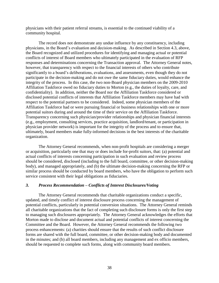physicians with their patient referral streams, is essential to the continued viability of a community hospital.

The record does not demonstrate any undue influence by any constituency, including physicians, in the Board's evaluation and decision-making. As described in Section 4.3, above, the Board recognized and utilized procedures for identifying and managing actual or potential conflicts of interest of Board members who ultimately participated in the evaluation of RFP responses and determinations concerning the Transaction approval. The Attorney General notes, however, that transparency with respect to the financial interests of others who contribute significantly to a board's deliberations, evaluations, and assessments, even though they do not participate in the decision-making and do not owe the same fiduciary duties, would enhance the integrity of the process. In this case, the two non-Board physician members on the 2009-2010 Affiliation Taskforce owed no fiduciary duties to Morton (e.g., the duties of loyalty, care, and confidentiality). In addition, neither the Board nor the Affiliation Taskforce considered or disclosed potential conflicts of interests that Affiliation Taskforce members may have had with respect to the potential partners to be considered. Indeed, some physician members of the Affiliation Taskforce had or were pursuing financial or business relationships with one or more potential suitors during and around the time of their service on the Affiliation Taskforce. Transparency concerning such physician/provider relationships and physician financial interests (e.g., employment, consulting services, practice acquisition, landlord/tenant, or participation in physician provider network) is important for the integrity of the process and to ensure that, ultimately, board members make fully-informed decisions in the best interests of the charitable organization.

The Attorney General recommends, when non-profit hospitals are considering a merger or acquisition, particularly one that may or does include for-profit suitors, that: (a) potential and actual conflicts of interests concerning participation in such evaluation and review process should be considered, disclosed (including to the full board, committee, or other decision-making body), and managed appropriately, and (b) the ultimate decision-making concerning the RFP or similar process should be conducted by board members, who have the obligation to perform such service consistent with their legal obligations as fiduciaries.

#### *3. Process Recommendation – Conflicts of Interest Disclosures/Voting*

The Attorney General recommends that charitable organizations conduct a specific, updated, and timely conflict of interest disclosure process concerning the management of potential conflicts, particularly in potential conversion situations. The Attorney General reminds all charitable organizations that the fact of completing such disclosure forms is only the first step to managing such disclosures appropriately. The Attorney General acknowledges the efforts that Morton made to disclose and document actual and potential conflicts of interest concerning the Committee and the Board. However, the Attorney General recommends the following two process enhancements: (a) charities should ensure that the results of such conflict disclosure forms are shared with the full board, committee, or other decision-making body and documented in the minutes; and (b) all board members, including any management and ex officio members, should be requested to complete such forms, along with community board members.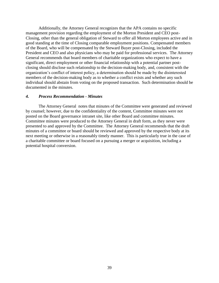Additionally, the Attorney General recognizes that the APA contains no specific management provision regarding the employment of the Morton President and CEO post-Closing, other than the general obligation of Steward to offer all Morton employees active and in good standing at the time of Closing comparable employment positions. Compensated members of the Board, who will be compensated by the Steward Buyer post-Closing, included the President and CEO and also physicians who may be paid for professional services. The Attorney General recommends that board members of charitable organizations who expect to have a significant, direct employment or other financial relationship with a potential partner postclosing should disclose such relationship to the decision-making body, and, consistent with the organization's conflict of interest policy, a determination should be made by the disinterested members of the decision-making body as to whether a conflict exists and whether any such individual should abstain from voting on the proposed transaction. Such determination should be documented in the minutes.

#### *4. Process Recommendation - Minutes*

The Attorney General notes that minutes of the Committee were generated and reviewed by counsel; however, due to the confidentiality of the content, Committee minutes were not posted on the Board governance intranet site, like other Board and committee minutes. Committee minutes were produced to the Attorney General in draft form, as they never were presented to and approved by the Committee. The Attorney General recommends that the draft minutes of a committee or board should be reviewed and approved by the respective body at its next meeting or otherwise in a reasonably timely manner. This is particularly true in the case of a charitable committee or board focused on a pursuing a merger or acquisition, including a potential hospital conversion.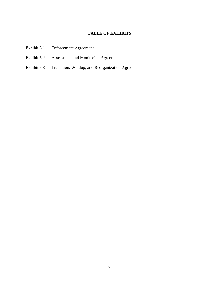#### **TABLE OF EXHIBITS**

- Exhibit 5.1 Enforcement Agreement
- Exhibit 5.2 Assessment and Monitoring Agreement
- Exhibit 5.3 Transition, Windup, and Reorganization Agreement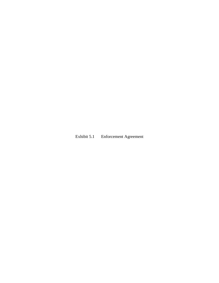# Exhibit 5.1 Enforcement Agreement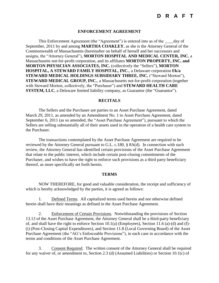### **D R A F T**

#### **ENFORCEMENT AGREEMENT**

This Enforcement Agreement (the "Agreement") is entered into as of the \_\_\_\_day of September, 2011 by and among **MARTHA COAKLEY**, as she is the Attorney General of the Commonwealth of Massachusetts (hereinafter on behalf of herself and her successors and assigns, the "Attorney General"), **MORTON HOSPITAL AND MEDICAL CENTER, INC.** a Massachusetts not-for-profit corporation, and its affiliates **MORTON PROPERTY, INC. and MORTON PHYSICIAN ASSOCIATES, INC.** (collectively the "Sellers"), **MORTON HOSPITAL, A STEWARD FAMILY HOSPITAL, INC.**, a Delaware corporation **f/k/a STEWARD MEDICAL HOLDINGS SUBSIDIARY THREE, INC.** ("Steward Morton"), **STEWARD MEDICAL GROUP, INC.**, a Massachusetts not-for-profit corporation (together with Steward Morton, collectively, the "Purchaser") and **STEWARD HEALTH CARE SYSTEM, LLC**, a Delaware limited liability company, as Guarantor (the "Guarantor").

#### **RECITALS**

The Sellers and the Purchaser are parties to an Asset Purchase Agreement, dated March 29, 2011, as amended by an Amendment No. 1 to Asset Purchase Agreement, dated September 6, 2011 (as so amended, the "Asset Purchase Agreement"), pursuant to which the Sellers are selling substantially all of their assets used in the operation of a health care system to the Purchaser.

The transactions contemplated by the Asset Purchase Agreement are required to be reviewed by the Attorney General pursuant to G.L. c.180, § 8A(d). In connection with such review, the Attorney General has identified certain provisions of the Asset Purchase Agreement that relate to the public interest, which include certain post-closing commitments of the Purchaser, and wishes to have the right to enforce such provisions as a third party beneficiary thereof, as more specifically set forth herein.

#### **TERMS**

NOW THEREFORE, for good and valuable consideration, the receipt and sufficiency of which is hereby acknowledged by the parties, it is agreed as follows:

1. Defined Terms. All capitalized terms used herein and not otherwise defined herein shall have their meanings as defined in the Asset Purchase Agreement.

2. Enforcement of Certain Provisions. Notwithstanding the provisions of Section 13.13 of the Asset Purchase Agreement, the Attorney General shall be a third-party beneficiary of, and shall have the right to enforce Section 10.1(a) (Employees), Section 11.6 (a)-(d) and (f)- (i) (Post-Closing Capital Expenditures), and Section 11.8 (Local Governing Board) of the Asset Purchase Agreement (the "AG's Enforceable Provisions"), in each case in accordance with the terms and conditions of the Asset Purchase Agreement.

3. Consent Required. The written consent of the Attorney General shall be required for any waiver of, or amendment to, Section 2.3 (d) (Assumed Liabilities) or Section 10.1(c) of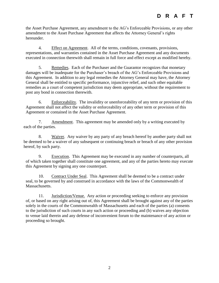# **D R A F T**

the Asset Purchase Agreement, any amendment to the AG's Enforceable Provisions, or any other amendment to the Asset Purchase Agreement that affects the Attorney General's rights hereunder.

4. Effect on Agreement. All of the terms, conditions, covenants, provisions, representations, and warranties contained in the Asset Purchase Agreement and any documents executed in connection therewith shall remain in full force and effect except as modified hereby.

5. Remedies. Each of the Purchaser and the Guarantor recognizes that monetary damages will be inadequate for the Purchaser's breach of the AG's Enforceable Provisions and this Agreement. In addition to any legal remedies the Attorney General may have, the Attorney General shall be entitled to specific performance, injunctive relief, and such other equitable remedies as a court of competent jurisdiction may deem appropriate, without the requirement to post any bond in connection therewith.

6. Enforceability. The invalidity or unenforceability of any term or provision of this Agreement shall not affect the validity or enforceability of any other term or provision of this Agreement or contained in the Asset Purchase Agreement.

7. Amendment. This agreement may be amended only by a writing executed by each of the parties.

8. Waiver. Any waiver by any party of any breach hereof by another party shall not be deemed to be a waiver of any subsequent or continuing breach or breach of any other provision hereof, by such party.

9. Execution. This Agreement may be executed in any number of counterparts, all of which taken together shall constitute one agreement, and any of the parties hereto may execute this Agreement by signing any one counterpart.

10. Contract Under Seal. This Agreement shall be deemed to be a contract under seal, to be governed by and construed in accordance with the laws of the Commonwealth of Massachusetts.

11. Jurisdiction/Venue. Any action or proceeding seeking to enforce any provision of, or based on any right arising out of, this Agreement shall be brought against any of the parties solely in the courts of the Commonwealth of Massachusetts and each of the parties (a) consents to the jurisdiction of such courts in any such action or proceeding and (b) waives any objection to venue laid therein and any defense of inconvenient forum to the maintenance of any action or proceeding so brought.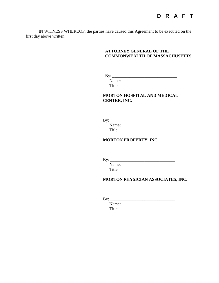IN WITNESS WHEREOF, the parties have caused this Agreement to be executed on the first day above written.

#### **ATTORNEY GENERAL OF THE COMMONWEALTH OF MASSACHUSETTS**

By: \_\_\_\_\_\_\_\_\_\_\_\_\_\_\_\_\_\_\_\_\_\_\_\_\_\_\_\_\_\_

Name: Title:

**MORTON HOSPITAL AND MEDICAL CENTER, INC.**

By: \_\_\_\_\_\_\_\_\_\_\_\_\_\_\_\_\_\_\_\_\_\_\_\_\_\_\_\_\_\_

Name: Title:

**MORTON PROPERTY, INC.**

By: \_\_\_\_\_\_\_\_\_\_\_\_\_\_\_\_\_\_\_\_\_\_\_\_\_\_\_\_\_\_

Name: Title:

#### **MORTON PHYSICIAN ASSOCIATES, INC.**

By: \_\_\_\_\_\_\_\_\_\_\_\_\_\_\_\_\_\_\_\_\_\_\_\_\_\_\_\_\_\_

Name: Title: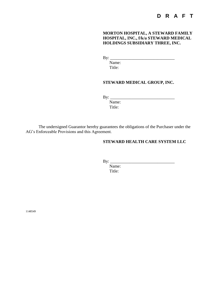## **D R A F T**

**MORTON HOSPITAL, A STEWARD FAMILY HOSPITAL, INC., f/k/a STEWARD MEDICAL HOLDINGS SUBSIDIARY THREE, INC.**

By: \_\_\_\_\_\_\_\_\_\_\_\_\_\_\_\_\_\_\_\_\_\_\_\_\_\_\_\_\_\_

Name: Title:

#### **STEWARD MEDICAL GROUP, INC.**

By: \_\_\_\_\_\_\_\_\_\_\_\_\_\_\_\_\_\_\_\_\_\_\_\_\_\_\_\_\_\_

Name: Title:

The undersigned Guarantor hereby guarantees the obligations of the Purchaser under the AG's Enforceable Provisions and this Agreement.

#### **STEWARD HEALTH CARE SYSTEM LLC**

 $\mathbf{B} \mathbf{y}$ :

Name: Title:

1148549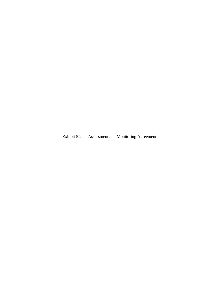Exhibit 5.2 Assessment and Monitoring Agreement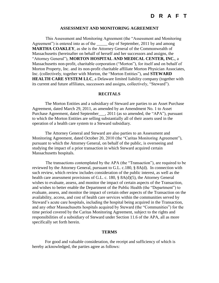#### **ASSESSMENT AND MONITORING AGREEMENT**

This Assessment and Monitoring Agreement (the "Assessment and Monitoring Agreement") is entered into as of the <u>case of</u> any of September, 2011 by and among **MARTHA COAKLEY**, as she is the Attorney General of the Commonwealth of Massachusetts (hereinafter on behalf of herself and her successors and assigns, the "Attorney General"), **MORTON HOSPITAL AND MEDICAL CENTER, INC.**, a Massachusetts non-profit, charitable corporation ("Morton"), for itself and on behalf of Morton Property, Inc. and its non-profit charitable affiliate Morton Physician Associates, Inc. (collectively, together with Morton, the "Morton Entities"), and **STEWARD HEALTH CARE SYSTEM LLC**, a Delaware limited liability company (together with its current and future affiliates, successors and assigns, collectively, "Steward").

#### **RECITALS**

The Morton Entities and a subsidiary of Steward are parties to an Asset Purchase Agreement, dated March 29, 2011, as amended by an Amendment No. 1 to Asset Purchase Agreement, dated September\_\_\_, 2011 (as so amended, the "APA"), pursuant to which the Morton Entities are selling substantially all of their assets used in the operation of a health care system to a Steward subsidiary.

The Attorney General and Steward are also parties to an Assessment and Monitoring Agreement, dated October 20, 2010 (the "Caritas Monitoring Agreement"), pursuant to which the Attorney General, on behalf of the public, is overseeing and studying the impact of a prior transaction in which Steward acquired certain Massachusetts hospitals.

The transactions contemplated by the APA (the "Transaction"), are required to be reviewed by the Attorney General, pursuant to G.L. c.180, § 8A(d). In connection with such review, which review includes consideration of the public interest, as well as the health care assessment provisions of G.L. c. 180, § 8A(d)(5), the Attorney General wishes to evaluate, assess, and monitor the impact of certain aspects of the Transaction, and wishes to better enable the Department of the Public Health (the "Department") to evaluate, assess, and monitor the impact of certain other aspects of the Transaction on the availability, access, and cost of health care services within the communities served by Steward's acute care hospitals, including the hospital being acquired in the Transaction, and any other Massachusetts hospitals acquired by Steward (the "Communities") for the time period covered by the Caritas Monitoring Agreement, subject to the rights and responsibilities of a subsidiary of Steward under Section 11.6 of the APA, all as more specifically set forth herein.

#### **TERMS**

For good and valuable consideration, the receipt and sufficiency of which is hereby acknowledged, the parties agree as follows: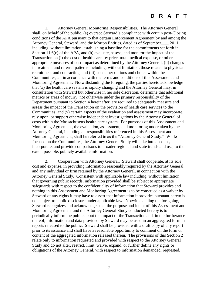### **D R A F T**

1. Attorney General Monitoring Responsibilities. The Attorney General shall, on behalf of the public, (a) oversee Steward's compliance with certain post-Closing conditions of the APA pursuant to that certain Enforcement Agreement by and among the Attorney General, Steward, and the Morton Entities, dated as of September\_\_\_, 2011, including, without limitation, establishing a baseline for the commitments set forth in Section 11.6(c) of the APA, and (b) evaluate, assess, and monitor the impact of the Transaction on (i) the cost of health care, by price, total medical expense, or other appropriate measures of cost impact as determined by the Attorney General, (ii) changes in treatment and referral patterns including, without limitation, those related to physician recruitment and contracting, and (iii) consumer options and choice within the Communities, all in accordance with the terms and conditions of this Assessment and Monitoring Agreement. Notwithstanding the foregoing, the parties hereto acknowledge that (x) the health care system is rapidly changing and the Attorney General may, in consultation with Steward but otherwise in her sole discretion, determine that additional metrics or areas of inquiry, not otherwise under the primary responsibility of the Department pursuant to Section 4 hereinafter, are required to adequately measure and assess the impact of the Transaction on the provision of health care services to the Communities, and (y) certain aspects of the evaluation and assessment may incorporate, rely upon, or support otherwise independent investigations by the Attorney General of costs within the Massachusetts health care system. For purposes of this Assessment and Monitoring Agreement, the evaluation, assessment, and monitoring undertaken by the Attorney General, including all responsibilities referenced in this Assessment and Monitoring Agreement, shall be referred to as the "Attorney General Study." While focused on the Communities, the Attorney General Study will take into account, incorporate, and provide comparisons to broader regional and state trends and use, to the extent possible, publicly available information.

2. Cooperation with Attorney General. Steward shall cooperate, at its sole cost and expense, in providing information reasonably required by the Attorney General, and any individual or firm retained by the Attorney General, in connection with the Attorney General Study. Consistent with applicable law including, without limitation, that governing public records, information provided shall be subject to appropriate safeguards with respect to the confidentiality of information that Steward provides and nothing in this Assessment and Monitoring Agreement is to be construed as a waiver by Steward of any rights it may have to assert that information it provides pursuant hereto is not subject to public disclosure under applicable law. Notwithstanding the foregoing, Steward recognizes and acknowledges that the purpose and intent of this Assessment and Monitoring Agreement and the Attorney General Study conducted hereby is to periodically inform the public about the impact of the Transaction and, in the furtherance thereof, information and data provided by Steward may be used in an aggregated form in reports released to the public. Steward shall be provided with a draft copy of any report prior to its issuance and shall have a reasonable opportunity to comment on the form or content of the aggregated information released therein. The provisions of this Section 2 relate only to information requested and provided with respect to the Attorney General Study and do not alter, restrict, limit, waive, expand, or further define any rights or obligations of the Attorney General, with respect to information demanded, requested,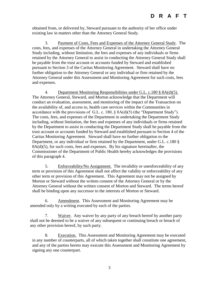obtained from, or delivered by, Steward pursuant to the authority of her office under existing law in matters other than the Attorney General Study.

3. Payment of Costs, Fees and Expenses of the Attorney General Study. The costs, fees, and expenses of the Attorney General in undertaking the Attorney General Study including, without limitation, the fees and expenses of any individuals or firms retained by the Attorney General to assist in conducting the Attorney General Study shall be payable from the trust account or accounts funded by Steward and established pursuant to Section 3 of the Caritas Monitoring Agreement. Steward shall have no further obligation to the Attorney General or any individual or firm retained by the Attorney General under this Assessment and Monitoring Agreement for such costs, fees and expenses.

4. Department Monitoring Responsibilities under G.L. c.180 § 8A(d)(5). The Attorney General, Steward, and Morton acknowledge that the Department will conduct an evaluation, assessment, and monitoring of the impact of the Transaction on the availability of, and access to, health care services within the Communities in accordance with the provisions of G.L. c. 180, § 8A(d)(5) (the "Department Study"). The costs, fees, and expenses of the Department in undertaking the Department Study including, without limitation, the fees and expenses of any individuals or firms retained by the Department to assist in conducting the Department Study shall be payable from the trust account or accounts funded by Steward and established pursuant to Section 4 of the Caritas Monitoring Agreement. Steward shall have no further obligation to the Department, or any individual or firm retained by the Department, under G.L. c.180 §  $8A(d)(5)$ , for such costs, fees and expenses. By his signature hereinafter, the Commissioner of the Department of Public Health hereby acknowledges the provisions of this paragraph 4.

5. Enforceability/No Assignment. The invalidity or unenforceability of any term or provision of this Agreement shall not affect the validity or enforceability of any other term or provision of this Agreement. This Agreement may not be assigned by Morton or Steward without the written consent of the Attorney General or by the Attorney General without the written consent of Morton and Steward. The terms hereof shall be binding upon any successor to the interests of Morton or Steward.

6. Amendment. This Assessment and Monitoring Agreement may be amended only by a writing executed by each of the parties.

7. Waiver. Any waiver by any party of any breach hereof by another party shall not be deemed to be a waiver of any subsequent or continuing breach or breach of any other provision hereof, by such party.

8. Execution. This Assessment and Monitoring Agreement may be executed in any number of counterparts, all of which taken together shall constitute one agreement, and any of the parties hereto may execute this Assessment and Monitoring Agreement by signing any one counterpart.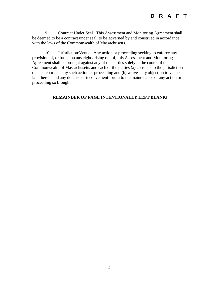9. Contract Under Seal. This Assessment and Monitoring Agreement shall be deemed to be a contract under seal, to be governed by and construed in accordance with the laws of the Commonwealth of Massachusetts.

10. **Jurisdiction/Venue.** Any action or proceeding seeking to enforce any provision of, or based on any right arising out of, this Assessment and Monitoring Agreement shall be brought against any of the parties solely in the courts of the Commonwealth of Massachusetts and each of the parties (a) consents to the jurisdiction of such courts in any such action or proceeding and (b) waives any objection to venue laid therein and any defense of inconvenient forum to the maintenance of any action or proceeding so brought.

#### **[REMAINDER OF PAGE INTENTIONALLY LEFT BLANK]**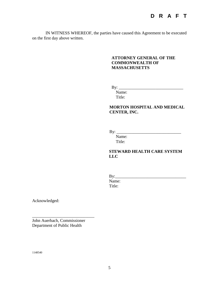IN WITNESS WHEREOF, the parties have caused this Agreement to be executed on the first day above written.

#### **ATTORNEY GENERAL OF THE COMMONWEALTH OF MASSACHUSETTS**

By: \_\_\_\_\_\_\_\_\_\_\_\_\_\_\_\_\_\_\_\_\_\_\_\_\_\_\_\_\_\_

Name: Title:

#### **MORTON HOSPITAL AND MEDICAL CENTER, INC.**

By: \_\_\_\_\_\_\_\_\_\_\_\_\_\_\_\_\_\_\_\_\_\_\_\_\_\_\_\_\_\_

Name: Title:

#### **STEWARD HEALTH CARE SYSTEM LLC**

| $\gamma$ : |  |  |  |
|------------|--|--|--|
| Name:      |  |  |  |
| Title:     |  |  |  |

Acknowledged:

John Auerbach, Commissioner Department of Public Health

\_\_\_\_\_\_\_\_\_\_\_\_\_\_\_\_\_\_\_\_\_\_\_\_\_\_\_\_\_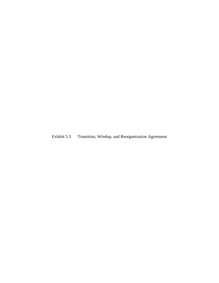Exhibit 5.3 Transition, Windup, and Reorganization Agreement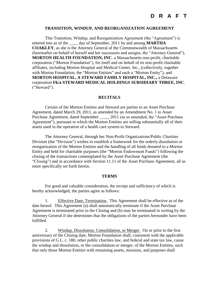#### **TRANSITION, WINDUP, AND REORGANIZATION AGREEMENT**

This Transition, Windup, and Reorganization Agreement (the "Agreement") is entered into as of the \_\_\_\_\_ day of September, 2011 by and among **MARTHA COAKLEY**, as she is the Attorney General of the Commonwealth of Massachusetts (hereinafter on behalf of herself and her successors and assigns, the "Attorney General"), **MORTON HEALTH FOUNDATION, INC**. a Massachusetts non-profit, charitable corporation ("Morton Foundation"), for itself and on behalf of its non-profit charitable affiliates, including Morton Hospital and Medical Center, Inc., (collectively, together with Morton Foundation, the "Morton Entities" and each a "Morton Entity"), and **MORTON HOSPITAL, A STEWARD FAMILY HOSPITAL, INC.,** a Delaware corporation **f/k/a STEWARD MEDICAL HOLDINGS SUBSIDIARY THREE, INC**. ("Steward").

#### **RECITALS**

Certain of the Morton Entities and Steward are parties to an Asset Purchase Agreement, dated March 29, 2011, as amended by an Amendment No. 1 to Asset Purchase Agreement, dated September \_\_\_\_, 2011 (as so amended, the "Asset Purchase Agreement"), pursuant to which the Morton Entities are selling substantially all of their assets used in the operation of a health care system to Steward.

The Attorney General, through her Non-Profit Organizations/Public Charities Division (the "Division") wishes to establish a framework for the orderly dissolution or reorganization of the Morton Entities and the handling of all funds donated to a Morton Entity and held for charitable purposes (the "Morton Endowment Funds") following the closing of the transactions contemplated by the Asset Purchase Agreement (the "Closing") and in accordance with Section 11.11 of the Asset Purchase Agreement, all as more specifically set forth herein.

#### **TERMS**

For good and valuable consideration, the receipt and sufficiency of which is hereby acknowledged, the parties agree as follows:

1. Effective Date; Termination. This Agreement shall be effective as of the date hereof. This Agreement (a) shall automatically terminate if the Asset Purchase Agreement is terminated prior to the Closing and (b) may be terminated in writing by the Attorney General if she determines that the obligations of the parties hereunder have been fulfilled.

2. Windup, Dissolution, Consolidation, or Merger. On or prior to the first anniversary of the Closing date, Morton Foundation shall, consistent with the applicable provisions of G.L. c. 180, other public charities law, and federal and state tax law, cause the windup and dissolution, or the consolidation or merger, of the Morton Entities, such that only those Morton Entities with remaining assets, missions, and purposes shall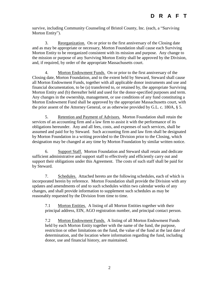survive, including Community Counseling of Bristol County, Inc. (each, a "Surviving Morton Entity").

3. Reorganization. On or prior to the first anniversary of the Closing date and as may be appropriate or necessary, Morton Foundation shall cause each Surviving Morton Entity to be reorganized consistent with its mission and purpose. Any change to the mission or purpose of any Surviving Morton Entity shall be approved by the Division, and, if required, by order of the appropriate Massachusetts court.

4. Morton Endowment Funds. On or prior to the first anniversary of the Closing date, Morton Foundation, and to the extent held by Steward, Steward shall cause all Morton Endowment Funds, together with all applicable donor instruments and use and financial documentation, to be (a) transferred to, or retained by, the appropriate Surviving Morton Entity and (b) thereafter held and used for the donor-specified purposes and term. Any changes in the ownership, management, or use conditions of any fund constituting a Morton Endowment Fund shall be approved by the appropriate Massachusetts court, with the prior assent of the Attorney General, or as otherwise provided by G.L. c. 180A, § 5.

5. Retention and Payment of Advisors. Morton Foundation shall retain the services of an accounting firm and a law firm to assist it with the performance of its obligations hereunder. Any and all fees, costs, and expenses of such services, shall be assumed and paid for by Steward. Such accounting firm and law firm shall be designated by Morton Foundation in a writing provided to the Division prior to the Closing, which designation may be changed at any time by Morton Foundation by similar written notice.

6. Support Staff. Morton Foundation and Steward shall retain and dedicate sufficient administrative and support staff to effectively and efficiently carry out and support their obligations under this Agreement. The costs of such staff shall be paid for by Steward.

7. Schedules. Attached hereto are the following schedules, each of which is incorporated herein by reference. Morton Foundation shall provide the Division with any updates and amendments of and to such schedules within two calendar weeks of any changes, and shall provide information to supplement such schedules as may be reasonably requested by the Division from time to time.

7.1 Morton Entities. A listing of all Morton Entities together with their principal address, EIN, AGO registration number, and principal contact person.

7.2 Morton Endowment Funds. A listing of all Morton Endowment Funds held by each Morton Entity together with the name of the fund, the purpose, restriction or other limitations on the fund, the value of the fund at the last date of determination, and the location where information regarding the fund, including donor, use and financial history, are maintained.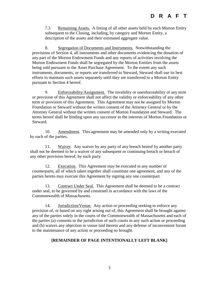# **D R A F T**

7.3 Remaining Assets. A listing of all other assets held by each Morton Entity subsequent to the Closing, including, by category and Morton Entity, a description of the assets and their estimated aggregate value.

8. Segregation of Documents and Instruments. Notwithstanding the provisions of Section 4, all instruments and other documents evidencing the donation of any part of the Morton Endowment Funds and any reports of activities involving the Morton Endowment Funds shall be segregated by the Morton Entities from the assets being sold pursuant to the Asset Purchase Agreement. To the extent any such instruments, documents, or reports are transferred to Steward, Steward shall use its best efforts to maintain such assets separately until they are transferred to a Morton Entity pursuant to Section 4 hereof.

9. Enforceability/Assignment. The invalidity or unenforceability of any term or provision of this Agreement shall not affect the validity or enforceability of any other term or provision of this Agreement. This Agreement may not be assigned by Morton Foundation or Steward without the written consent of the Attorney General or by the Attorney General without the written consent of Morton Foundation and Steward. The terms hereof shall be binding upon any successor to the interests of Morton Foundation or Steward.

10. Amendment. This agreement may be amended only by a writing executed by each of the parties.

11. Waiver. Any waiver by any party of any breach hereof by another party shall not be deemed to be a waiver of any subsequent or continuing breach or breach of any other provision hereof, by such party.

12. Execution. This Agreement may be executed in any number of counterparts, all of which taken together shall constitute one agreement, and any of the parties hereto may execute this Agreement by signing any one counterpart.

13. Contract Under Seal. This Agreement shall be deemed to be a contract under seal, to be governed by and construed in accordance with the laws of the Commonwealth of Massachusetts.

14. Jurisdiction/Venue. Any action or proceeding seeking to enforce any provision of, or based on any right arising out of, this Agreement shall be brought against any of the parties solely in the courts of the Commonwealth of Massachusetts and each of the parties (a) consents to the jurisdiction of such courts in any such action or proceeding and (b) waives any objection to venue laid therein and any defense of inconvenient forum to the maintenance of any action or proceeding so brought.

#### **[REMAINDER OF PAGE INTENTIONALLY LEFT BLANK]**